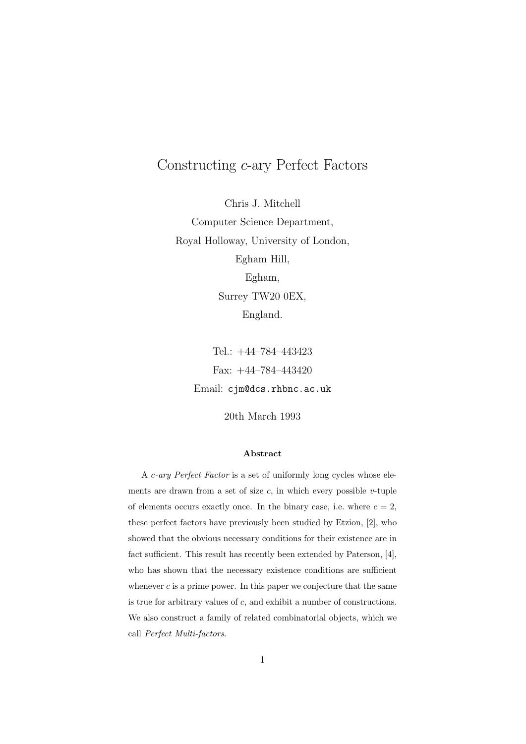# Constructing *c*-ary Perfect Factors

Chris J. Mitchell Computer Science Department, Royal Holloway, University of London, Egham Hill, Egham, Surrey TW20 0EX, England.

> Tel.: +44–784–443423 Fax: +44–784–443420 Email: cjm@dcs.rhbnc.ac.uk

> > 20th March 1993

#### **Abstract**

A *c-ary Perfect Factor* is a set of uniformly long cycles whose elements are drawn from a set of size  $c$ , in which every possible  $v$ -tuple of elements occurs exactly once. In the binary case, i.e. where  $c = 2$ , these perfect factors have previously been studied by Etzion, [2], who showed that the obvious necessary conditions for their existence are in fact sufficient. This result has recently been extended by Paterson, [4], who has shown that the necessary existence conditions are sufficient whenever  $c$  is a prime power. In this paper we conjecture that the same is true for arbitrary values of *c*, and exhibit a number of constructions. We also construct a family of related combinatorial objects, which we call *Perfect Multi-factors*.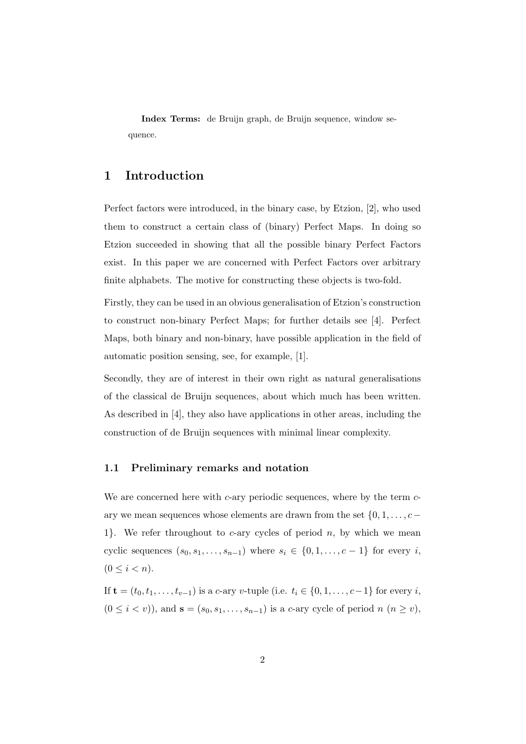**Index Terms:** de Bruijn graph, de Bruijn sequence, window sequence.

# **1 Introduction**

Perfect factors were introduced, in the binary case, by Etzion, [2], who used them to construct a certain class of (binary) Perfect Maps. In doing so Etzion succeeded in showing that all the possible binary Perfect Factors exist. In this paper we are concerned with Perfect Factors over arbitrary finite alphabets. The motive for constructing these objects is two-fold.

Firstly, they can be used in an obvious generalisation of Etzion's construction to construct non-binary Perfect Maps; for further details see [4]. Perfect Maps, both binary and non-binary, have possible application in the field of automatic position sensing, see, for example, [1].

Secondly, they are of interest in their own right as natural generalisations of the classical de Bruijn sequences, about which much has been written. As described in [4], they also have applications in other areas, including the construction of de Bruijn sequences with minimal linear complexity.

#### **1.1 Preliminary remarks and notation**

We are concerned here with *c*-ary periodic sequences, where by the term *c*ary we mean sequences whose elements are drawn from the set  $\{0, 1, \ldots, c -$ 1*}*. We refer throughout to *c*-ary cycles of period *n*, by which we mean cyclic sequences  $(s_0, s_1, \ldots, s_{n-1})$  where  $s_i \in \{0, 1, \ldots, c-1\}$  for every *i*,  $(0 \leq i < n).$ 

If **t** =  $(t_0, t_1, \ldots, t_{v-1})$  is a *c*-ary *v*-tuple (i.e.  $t_i \in \{0, 1, \ldots, c-1\}$  for every *i*,  $(0 \leq i < v)$ , and  $\mathbf{s} = (s_0, s_1, \ldots, s_{n-1})$  is a *c*-ary cycle of period *n*  $(n \geq v)$ ,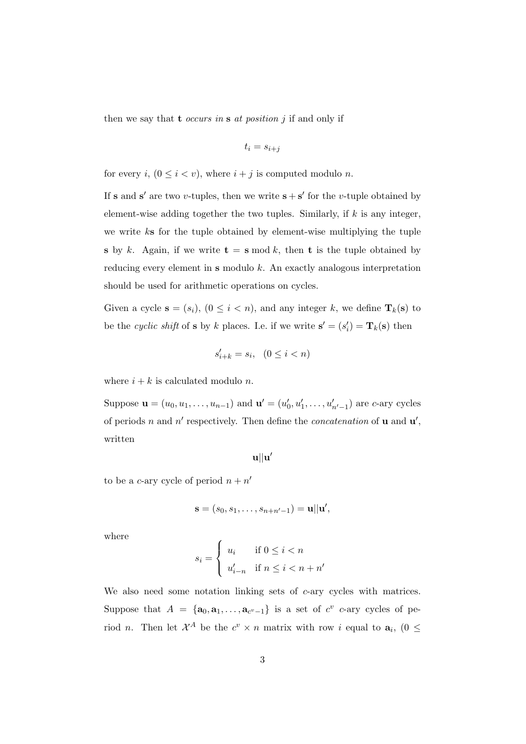then we say that **t** *occurs in* **s** *at position j* if and only if

$$
t_i = s_{i+j}
$$

for every *i*,  $(0 \le i < v)$ , where  $i + j$  is computed modulo *n*.

If **s** and **s**' are two *v*-tuples, then we write  $\mathbf{s} + \mathbf{s}'$  for the *v*-tuple obtained by element-wise adding together the two tuples. Similarly, if *k* is any integer, we write *k***s** for the tuple obtained by element-wise multiplying the tuple **s** by *k*. Again, if we write  $t = s \mod k$ , then **t** is the tuple obtained by reducing every element in **s** modulo *k*. An exactly analogous interpretation should be used for arithmetic operations on cycles.

Given a cycle  $\mathbf{s} = (s_i)$ ,  $(0 \leq i < n)$ , and any integer *k*, we define  $\mathbf{T}_k(\mathbf{s})$  to be the *cyclic shift* of **s** by *k* places. I.e. if we write  $\mathbf{s}' = (s_i') = \mathbf{T}_k(\mathbf{s})$  then

$$
s_{i+k}' = s_i, \quad (0 \le i < n)
$$

where  $i + k$  is calculated modulo *n*.

Suppose  $\mathbf{u} = (u_0, u_1, \dots, u_{n-1})$  and  $\mathbf{u}' = (u'_0, u'_1, \dots, u'_{n'-1})$  are *c*-ary cycles of periods *n* and *n ′* respectively. Then define the *concatenation* of **u** and **u** *′* , written

**u***||***u** *′*

to be a *c*-ary cycle of period  $n + n'$ 

$$
\mathbf{s}=(s_0,s_1,\ldots,s_{n+n'-1})=\mathbf{u}||\mathbf{u}',
$$

where

$$
s_i = \begin{cases} u_i & \text{if } 0 \le i < n \\ u'_{i-n} & \text{if } n \le i < n+n' \end{cases}
$$

We also need some notation linking sets of *c*-ary cycles with matrices. Suppose that  $A = {\mathbf{a}_0, \mathbf{a}_1, \dots, \mathbf{a}_{c^v-1}}$  is a set of  $c^v$  c-ary cycles of period *n*. Then let  $\mathcal{X}^A$  be the  $c^v \times n$  matrix with row *i* equal to  $a_i$ ,  $(0 \leq$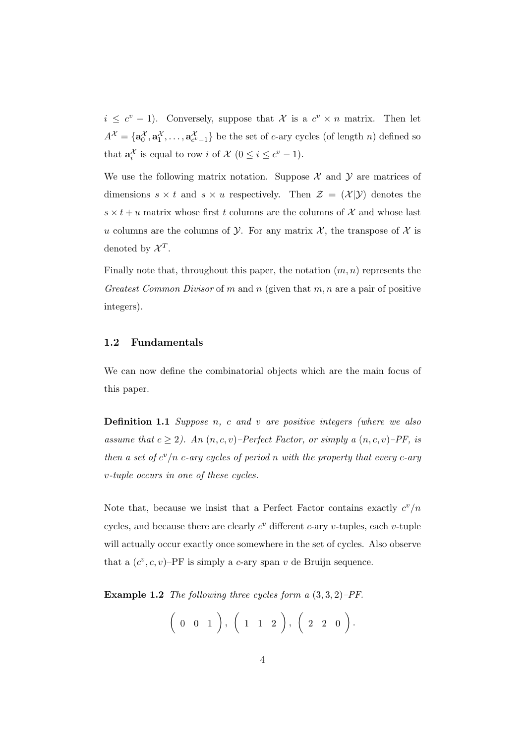$i \leq c^v - 1$ . Conversely, suppose that *X* is a  $c^v \times n$  matrix. Then let  $A^{\mathcal{X}} = {\mathbf{a}_0^{\mathcal{X}}, \mathbf{a}_1^{\mathcal{X}}, \dots, \mathbf{a}_{c^v-1}^{\mathcal{X}}\}$  be the set of *c*-ary cycles (of length *n*) defined so that  $\mathbf{a}_i^{\mathcal{X}}$  is equal to row *i* of  $\mathcal{X}$  ( $0 \le i \le c^v - 1$ ).

We use the following matrix notation. Suppose  $\mathcal X$  and  $\mathcal Y$  are matrices of dimensions  $s \times t$  and  $s \times u$  respectively. Then  $\mathcal{Z} = (\mathcal{X} | \mathcal{Y})$  denotes the  $s \times t + u$  matrix whose first *t* columns are the columns of  $\mathcal{X}$  and whose last *u* columns are the columns of *Y*. For any matrix *X*, the transpose of *X* is denoted by  $\mathcal{X}^T$ .

Finally note that, throughout this paper, the notation (*m, n*) represents the *Greatest Common Divisor* of *m* and *n* (given that *m, n* are a pair of positive integers).

#### **1.2 Fundamentals**

We can now define the combinatorial objects which are the main focus of this paper.

**Definition 1.1** *Suppose n, c and v are positive integers (where we also assume that*  $c \geq 2$ *). An*  $(n, c, v)$ –*Perfect Factor, or simply a*  $(n, c, v)$ –*PF, is then a set of*  $c^v/n$  *c-ary cycles of period n with the property that every c-ary v-tuple occurs in one of these cycles.*

Note that, because we insist that a Perfect Factor contains exactly  $c^{\nu}/n$ cycles, and because there are clearly  $c^v$  different *c*-ary *v*-tuples, each *v*-tuple will actually occur exactly once somewhere in the set of cycles. Also observe that a  $(c^v, c, v)$ –PF is simply a *c*-ary span *v* de Bruijn sequence.

**Example 1.2** *The following three cycles form a* (3*,* 3*,* 2)*–PF.*

$$
\left(\begin{array}{cccccc}0 & 0 & 1\end{array}\right), \left(\begin{array}{cccccc}1 & 1 & 2\end{array}\right), \left(\begin{array}{cccccc}2 & 2 & 0\end{array}\right).
$$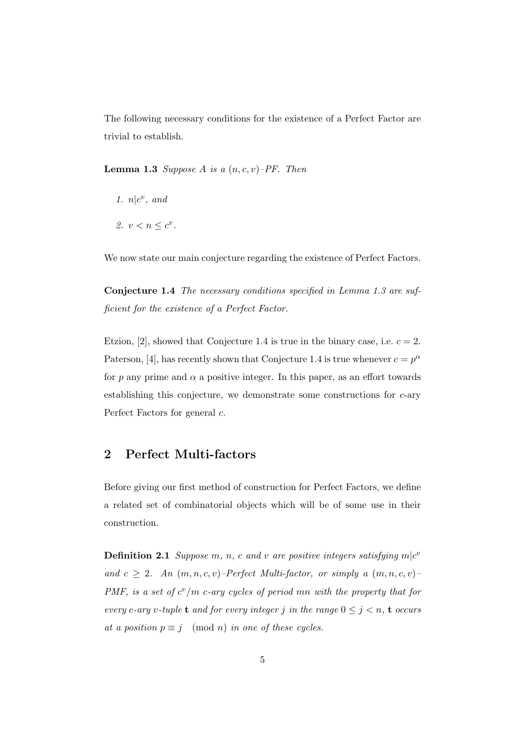The following necessary conditions for the existence of a Perfect Factor are trivial to establish.

**Lemma 1.3** *Suppose A is a*  $(n, c, v)$ –*PF. Then* 

- 1.  $n|c^v$ , and
- 2.  $v < n \leq c^v$ .

We now state our main conjecture regarding the existence of Perfect Factors.

**Conjecture 1.4** *The necessary conditions specified in Lemma 1.3 are sufficient for the existence of a Perfect Factor.*

Etzion,  $[2]$ , showed that Conjecture 1.4 is true in the binary case, i.e.  $c = 2$ . Paterson, [4], has recently shown that Conjecture 1.4 is true whenever  $c = p^{\alpha}$ for  $p$  any prime and  $\alpha$  a positive integer. In this paper, as an effort towards establishing this conjecture, we demonstrate some constructions for *c*-ary Perfect Factors for general *c*.

# **2 Perfect Multi-factors**

Before giving our first method of construction for Perfect Factors, we define a related set of combinatorial objects which will be of some use in their construction.

**Definition 2.1** *Suppose*  $m$ *,*  $n$ *,*  $c$  *and*  $v$  *are positive integers satisfying*  $m|c^v$ *and*  $c \geq 2$ *. An*  $(m, n, c, v)$ –*Perfect Multi-factor, or simply a*  $(m, n, c, v)$ – *PMF, is a set of c <sup>v</sup>/m c-ary cycles of period mn with the property that for every c*-ary *v*-tuple **t** and for every integer *j* in the range  $0 \leq j \leq n$ , **t** *occurs at a position*  $p \equiv j \pmod{n}$  *in one of these cycles.*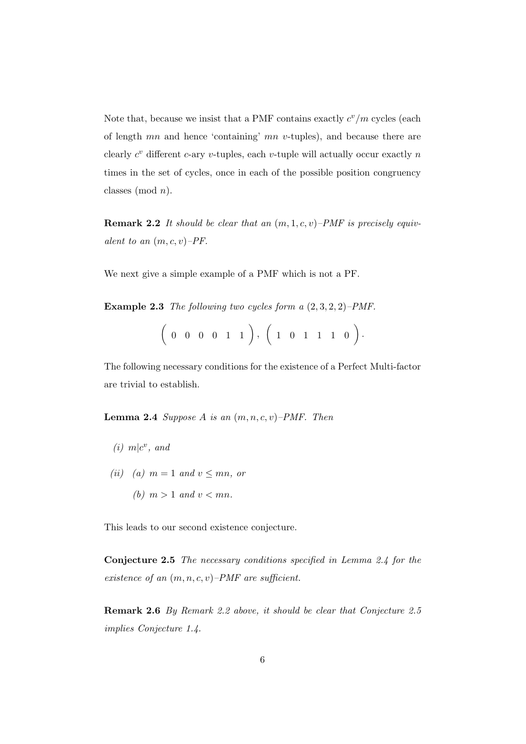Note that, because we insist that a PMF contains exactly  $c^v/m$  cycles (each of length *mn* and hence 'containing' *mn v*-tuples), and because there are clearly  $c^v$  different  $c$ -ary  $v$ -tuples, each  $v$ -tuple will actually occur exactly  $n$ times in the set of cycles, once in each of the possible position congruency classes (mod *n*).

**Remark 2.2** *It should be clear that an* (*m,* 1*, c, v*)*–PMF is precisely equivalent to an* (*m, c, v*)*–PF.*

We next give a simple example of a PMF which is not a PF.

**Example 2.3** *The following two cycles form a* (2*,* 3*,* 2*,* 2)*–PMF.*

$$
(0 \ 0 \ 0 \ 0 \ 1 \ 1), (1 \ 0 \ 1 \ 1 \ 1 \ 0).
$$

The following necessary conditions for the existence of a Perfect Multi-factor are trivial to establish.

**Lemma 2.4** *Suppose A is an* (*m, n, c, v*)*–PMF. Then*

- $(i)$   $m|c^v$ , and
- *(ii) (a)*  $m = 1$  *and*  $v \leq mn$ *, or* 
	- *(b)*  $m > 1$  *and*  $v < mn$ *.*

This leads to our second existence conjecture.

**Conjecture 2.5** *The necessary conditions specified in Lemma 2.4 for the existence of an* (*m, n, c, v*)*–PMF are sufficient.*

**Remark 2.6** *By Remark 2.2 above, it should be clear that Conjecture 2.5 implies Conjecture 1.4.*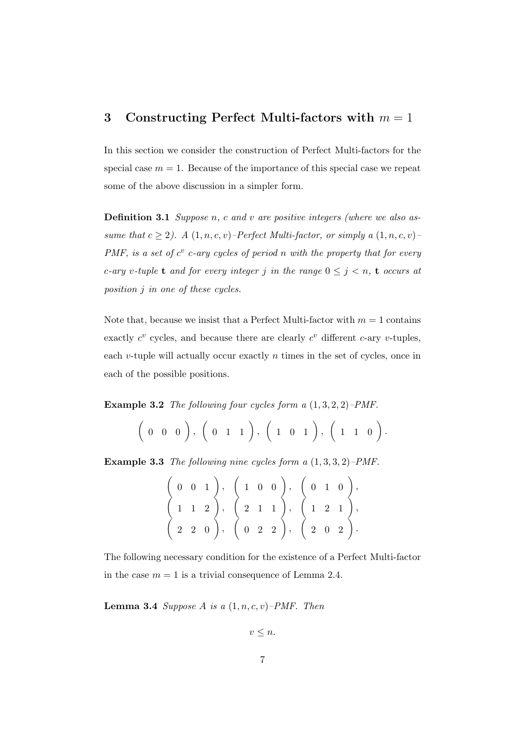# **3 Constructing Perfect Multi-factors with** *m* = 1

In this section we consider the construction of Perfect Multi-factors for the special case  $m = 1$ . Because of the importance of this special case we repeat some of the above discussion in a simpler form.

**Definition 3.1** *Suppose n, c and v are positive integers (where we also assume that*  $c \geq 2$ . A  $(1, n, c, v)$ –*Perfect Multi-factor, or simply a*  $(1, n, c, v)$ – *PMF, is a set of*  $c^v$  *c*-ary cycles of period *n* with the property that for every *c*-ary *v*-tuple **t** and for every integer *j* in the range  $0 \leq j \leq n$ , **t** occurs at *position j in one of these cycles.*

Note that, because we insist that a Perfect Multi-factor with  $m = 1$  contains exactly  $c^v$  cycles, and because there are clearly  $c^v$  different *c*-ary *v*-tuples, each *v*-tuple will actually occur exactly *n* times in the set of cycles, once in each of the possible positions.

**Example 3.2** *The following four cycles form a* (1*,* 3*,* 2*,* 2)*–PMF.*

$$
\left(\begin{array}{cccccc}0 & 0 & 0\end{array}\right), \left(\begin{array}{cccccc}0 & 1 & 1\end{array}\right), \left(\begin{array}{cccccc}1 & 0 & 1\end{array}\right), \left(\begin{array}{cccccc}1 & 1 & 0\end{array}\right).
$$

**Example 3.3** *The following nine cycles form a* (1*,* 3*,* 3*,* 2)*–PMF.*

|  |  | $(0\ 0\ 1), (1\ 0\ 0), (0\ 1\ 0),$                                                                                                                                                     |  |  |
|--|--|----------------------------------------------------------------------------------------------------------------------------------------------------------------------------------------|--|--|
|  |  | $(1\ 1\ 2), (2\ 1\ 1), (1\ 2\ 1),$                                                                                                                                                     |  |  |
|  |  | $\left( \begin{array}{cccc} 2 & 2 & 0 \end{array} \right)$ , $\left( \begin{array}{cccc} 0 & 2 & 2 \end{array} \right)$ , $\left( \begin{array}{cccc} 2 & 0 & 2 \end{array} \right)$ . |  |  |

The following necessary condition for the existence of a Perfect Multi-factor in the case  $m = 1$  is a trivial consequence of Lemma 2.4.

**Lemma 3.4** *Suppose A is a*  $(1, n, c, v)$ *–PMF. Then* 

$$
v\leq n.
$$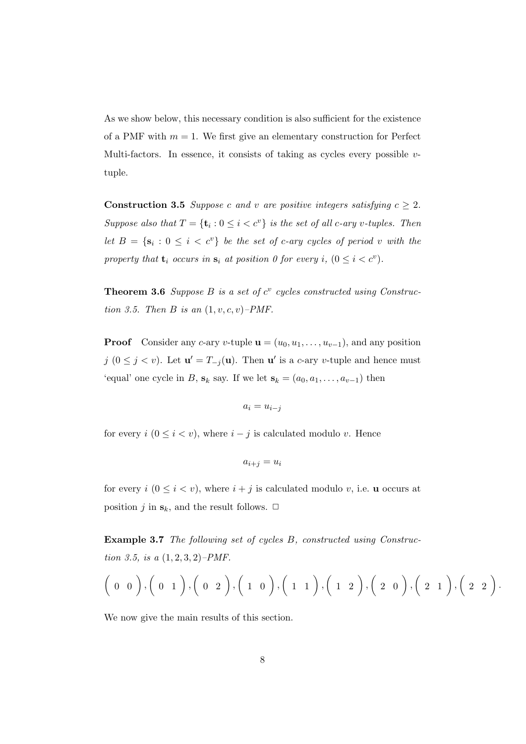As we show below, this necessary condition is also sufficient for the existence of a PMF with  $m = 1$ . We first give an elementary construction for Perfect Multi-factors. In essence, it consists of taking as cycles every possible *v*tuple.

**Construction 3.5** *Suppose c* and *v* are positive integers satisfying  $c \geq 2$ . *Suppose also that*  $T = {\mathbf{t}_i : 0 \le i < c^v}$  *is the set of all c-ary v-tuples. Then let*  $B = \{s_i : 0 \leq i < c^v\}$  *be the set of c-ary cycles of period v with the property that*  $\mathbf{t}_i$  *occurs in*  $\mathbf{s}_i$  *at position 0 for every i,*  $(0 \leq i < c^v)$ *.* 

**Theorem 3.6** *Suppose*  $B$  *is a set of*  $c^v$  *cycles constructed using Construction 3.5. Then B is an*  $(1, v, c, v)$ –*PMF.* 

**Proof** Consider any *c*-ary *v*-tuple  $\mathbf{u} = (u_0, u_1, \dots, u_{v-1})$ , and any position *j* (0 ≤ *j* < *v*). Let **u**<sup> $′$ </sup> =  $T$ <sub>−*j*</sub>(**u**). Then **u**<sup> $′$ </sup> is a *c*-ary *v*-tuple and hence must 'equal' one cycle in *B*,  $\mathbf{s}_k$  say. If we let  $\mathbf{s}_k = (a_0, a_1, \dots, a_{v-1})$  then

$$
a_i=u_{i-j}
$$

for every  $i$  ( $0 \leq i < v$ ), where  $i - j$  is calculated modulo *v*. Hence

$$
a_{i+j} = u_i
$$

for every  $i$  ( $0 \leq i < v$ ), where  $i + j$  is calculated modulo *v*, i.e. **u** occurs at position *j* in  $\mathbf{s}_k$ , and the result follows.  $\Box$ 

**Example 3.7** *The following set of cycles B, constructed using Construction 3.5, is a* (1*,* 2*,* 3*,* 2)*–PMF.*

$$
\Big(\begin{array}{cc}0 & 0\end{array}\Big),\Big(\begin{array}{cc}0 & 1\end{array}\Big),\Big(\begin{array}{cc}0 & 2\end{array}\Big),\Big(\begin{array}{cc}1 & 0\end{array}\Big),\Big(\begin{array}{cc}1 & 1\end{array}\Big),\Big(\begin{array}{cc}1 & 2\end{array}\Big),\Big(\begin{array}{cc}2 & 0\end{array}\Big),\Big(\begin{array}{cc}2 & 1\end{array}\Big),\Big(\begin{array}{cc}2 & 2\end{array}\Big).
$$

We now give the main results of this section.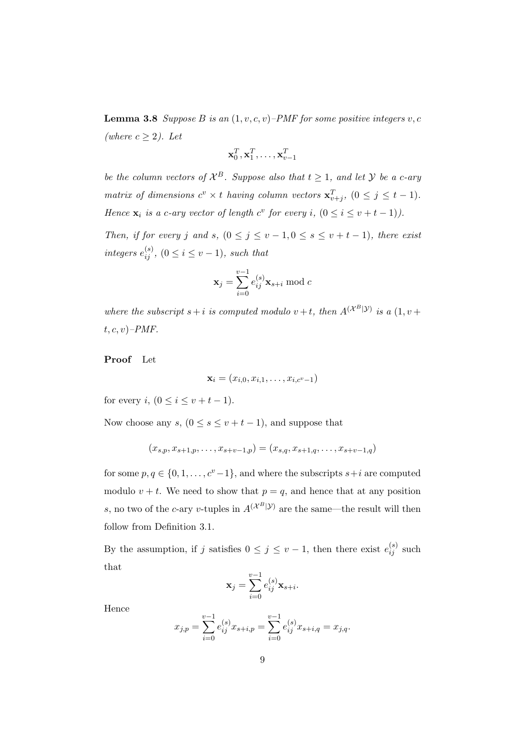**Lemma 3.8** *Suppose B is an*  $(1, v, c, v)$ –*PMF for some positive integers*  $v, c$ *(where c ≥* 2*). Let*

$$
\mathbf{x}_0^T, \mathbf{x}_1^T, \dots, \mathbf{x}_{v-1}^T
$$

*be the column vectors of*  $\mathcal{X}^B$ *. Suppose also that*  $t \geq 1$ *, and let*  $\mathcal{Y}$  *be a c-ary matrix of dimensions*  $c^v \times t$  *having column vectors*  $\mathbf{x}_{v+j}^T$ ,  $(0 \leq j \leq t-1)$ *. Hence*  $\mathbf{x}_i$  *is a c-ary vector of length*  $c^v$  *for every*  $i$ ,  $(0 \le i \le v + t - 1)$ *).* 

*Then, if for every j* and *s*,  $(0 \leq j \leq v-1, 0 \leq s \leq v+t-1)$ , there exist *integers*  $e_{ij}^{(s)}$ ,  $(0 \le i \le v-1)$ *, such that* 

$$
\mathbf{x}_j = \sum_{i=0}^{v-1} e_{ij}^{(s)} \mathbf{x}_{s+i} \bmod c
$$

*where the subscript*  $s + i$  *is computed modulo*  $v + t$ *, then*  $A^{(\mathcal{X}^B|\mathcal{Y})}$  *is a*  $(1, v +$ *t, c, v*)*–PMF.*

**Proof** Let

$$
\mathbf{x}_i = (x_{i,0}, x_{i,1}, \ldots, x_{i,c^v-1})
$$

for every *i*,  $(0 \le i \le v + t - 1)$ .

Now choose any  $s, (0 \le s \le v + t - 1)$ , and suppose that

$$
(x_{s,p}, x_{s+1,p}, \ldots, x_{s+v-1,p}) = (x_{s,q}, x_{s+1,q}, \ldots, x_{s+v-1,q})
$$

for some  $p, q \in \{0, 1, \ldots, c^v - 1\}$ , and where the subscripts  $s + i$  are computed modulo  $v + t$ . We need to show that  $p = q$ , and hence that at any position *s*, no two of the *c*-ary *v*-tuples in  $A^{(\mathcal{X}^B|\mathcal{Y})}$  are the same—the result will then follow from Definition 3.1.

By the assumption, if *j* satisfies  $0 \leq j \leq v-1$ , then there exist  $e_{ij}^{(s)}$  such that

$$
\mathbf{x}_j = \sum_{i=0}^{v-1} e_{ij}^{(s)} \mathbf{x}_{s+i}.
$$

Hence

$$
x_{j,p} = \sum_{i=0}^{v-1} e_{ij}^{(s)} x_{s+i,p} = \sum_{i=0}^{v-1} e_{ij}^{(s)} x_{s+i,q} = x_{j,q}.
$$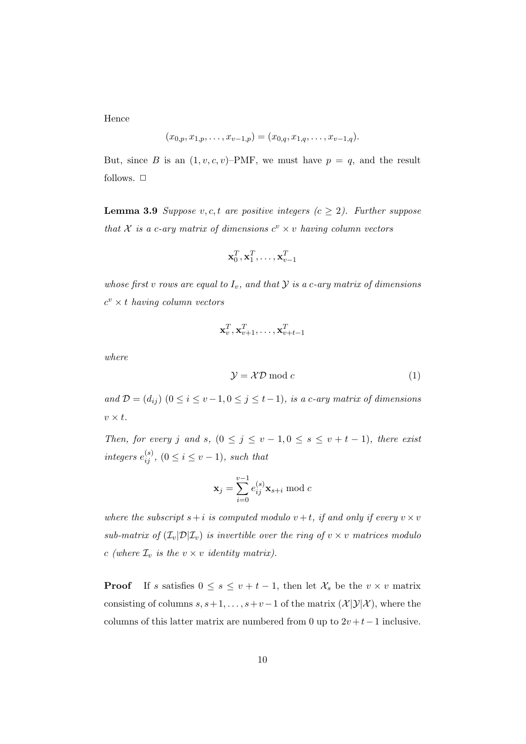Hence

$$
(x_{0,p}, x_{1,p}, \ldots, x_{v-1,p}) = (x_{0,q}, x_{1,q}, \ldots, x_{v-1,q}).
$$

But, since *B* is an  $(1, v, c, v)$ –PMF, we must have  $p = q$ , and the result follows.  $\Box$ 

**Lemma 3.9** *Suppose*  $v, c, t$  *are positive integers (* $c \geq 2$ *). Further suppose that*  $X$  *is a c-ary matrix of dimensions*  $c^v \times v$  *having column vectors* 

$$
\mathbf{x}_0^T, \mathbf{x}_1^T, \dots, \mathbf{x}_{v-1}^T
$$

*whose first v rows are equal to*  $I_v$ *, and that*  $Y$  *is a c-ary matrix of dimensions*  $c^v \times t$  *having column vectors* 

$$
\mathbf{x}_v^T, \mathbf{x}_{v+1}^T, \ldots, \mathbf{x}_{v+t-1}^T
$$

*where*

$$
\mathcal{Y} = \mathcal{X}\mathcal{D} \bmod c \tag{1}
$$

*and*  $D = (d_{ij})$  (0 ≤ *i* ≤ *v* − 1*,* 0 ≤ *j* ≤ *t* − 1)*, is a c-ary matrix of dimensions*  $v \times t$ .

*Then, for every j* and *s*,  $(0 \leq j \leq v-1, 0 \leq s \leq v+t-1)$ , there exist *integers*  $e_{ij}^{(s)}$ ,  $(0 \le i \le v-1)$ *, such that* 

$$
\mathbf{x}_j = \sum_{i=0}^{v-1} e_{ij}^{(s)} \mathbf{x}_{s+i} \bmod c
$$

*where the subscript*  $s + i$  *is computed modulo*  $v + t$ *, if and only if every*  $v \times v$ *sub-matrix of*  $(\mathcal{I}_v | \mathcal{D} | \mathcal{I}_v)$  *is invertible over the ring of*  $v \times v$  *matrices modulo c* (where  $\mathcal{I}_v$  *is the*  $v \times v$  *identity matrix).* 

**Proof** If *s* satisfies  $0 \leq s \leq v + t - 1$ , then let  $\mathcal{X}_s$  be the  $v \times v$  matrix consisting of columns  $s, s+1, \ldots, s+v-1$  of the matrix  $(\mathcal{X}|\mathcal{Y}|\mathcal{X})$ , where the columns of this latter matrix are numbered from 0 up to  $2v + t - 1$  inclusive.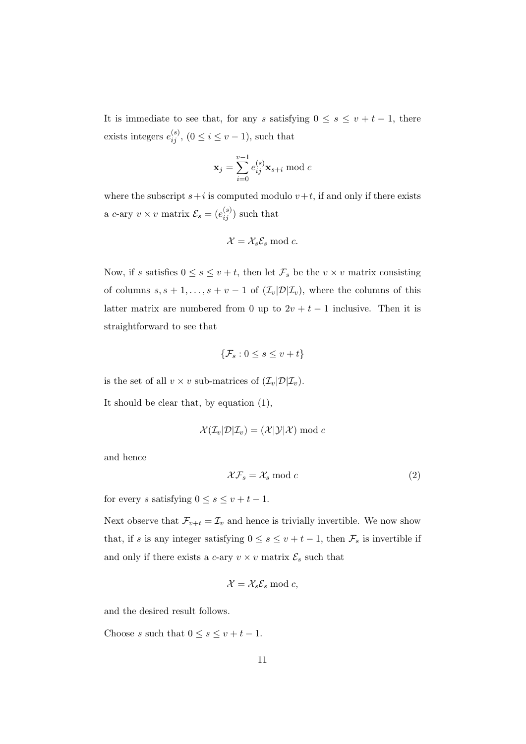It is immediate to see that, for any *s* satisfying  $0 \leq s \leq v + t - 1$ , there exists integers  $e_{ij}^{(s)}$ ,  $(0 \le i \le v-1)$ , such that

$$
\mathbf{x}_j = \sum_{i=0}^{v-1} e_{ij}^{(s)} \mathbf{x}_{s+i} \bmod c
$$

where the subscript  $s + i$  is computed modulo  $v + t$ , if and only if there exists a *c*-ary  $v \times v$  matrix  $\mathcal{E}_s = (e_{ij}^{(s)})$  such that

$$
\mathcal{X} = \mathcal{X}_s \mathcal{E}_s \bmod c.
$$

Now, if *s* satisfies  $0 \le s \le v + t$ , then let  $\mathcal{F}_s$  be the  $v \times v$  matrix consisting of columns  $s, s + 1, \ldots, s + v - 1$  of  $(\mathcal{I}_v | \mathcal{D} | \mathcal{I}_v)$ , where the columns of this latter matrix are numbered from 0 up to  $2v + t - 1$  inclusive. Then it is straightforward to see that

$$
\{\mathcal{F}_s: 0 \le s \le v+t\}
$$

is the set of all  $v \times v$  sub-matrices of  $(\mathcal{I}_v|\mathcal{D}|\mathcal{I}_v)$ .

It should be clear that, by equation (1),

$$
\mathcal{X}(\mathcal{I}_{v}|\mathcal{D}|\mathcal{I}_{v}) = (\mathcal{X}|\mathcal{Y}|\mathcal{X}) \bmod c
$$

and hence

$$
\mathcal{X}\mathcal{F}_s = \mathcal{X}_s \bmod c \tag{2}
$$

for every *s* satisfying  $0 \leq s \leq v + t - 1$ .

Next observe that  $\mathcal{F}_{v+t} = \mathcal{I}_v$  and hence is trivially invertible. We now show that, if *s* is any integer satisfying  $0 \leq s \leq v + t - 1$ , then  $\mathcal{F}_s$  is invertible if and only if there exists a *c*-ary  $v \times v$  matrix  $\mathcal{E}_s$  such that

$$
\mathcal{X} = \mathcal{X}_s \mathcal{E}_s \bmod c,
$$

and the desired result follows.

Choose *s* such that  $0 \leq s \leq v + t - 1$ .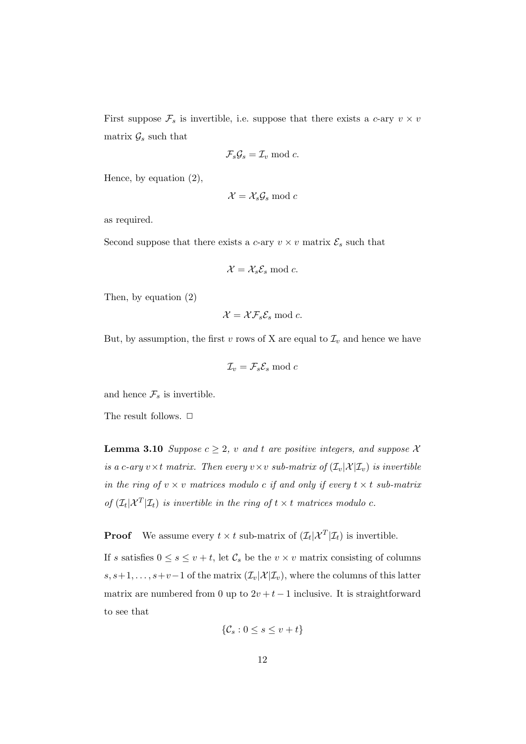First suppose  $\mathcal{F}_s$  is invertible, i.e. suppose that there exists a *c*-ary  $v \times v$ matrix  $\mathcal{G}_s$  such that

$$
\mathcal{F}_s \mathcal{G}_s = \mathcal{I}_v \bmod c.
$$

Hence, by equation (2),

$$
\mathcal{X} = \mathcal{X}_s \mathcal{G}_s \bmod c
$$

as required.

Second suppose that there exists a *c*-ary  $v \times v$  matrix  $\mathcal{E}_s$  such that

$$
\mathcal{X} = \mathcal{X}_s \mathcal{E}_s \bmod c.
$$

Then, by equation (2)

$$
\mathcal{X} = \mathcal{X}\mathcal{F}_s\mathcal{E}_s \bmod c.
$$

But, by assumption, the first *v* rows of X are equal to  $\mathcal{I}_v$  and hence we have

$$
\mathcal{I}_v = \mathcal{F}_s \mathcal{E}_s \bmod c
$$

and hence  $\mathcal{F}_s$  is invertible.

The result follows.  $\Box$ 

**Lemma 3.10** *Suppose*  $c \geq 2$ *, v and t are positive integers, and suppose X is a c-ary*  $v \times t$  *matrix. Then every*  $v \times v$  *sub-matrix of*  $(\mathcal{I}_v | \mathcal{X} | \mathcal{I}_v)$  *is invertible in the ring of*  $v \times v$  *matrices modulo c if and only if every*  $t \times t$  *sub-matrix* of  $(\mathcal{I}_t | \mathcal{X}^T | \mathcal{I}_t)$  *is invertible in the ring of*  $t \times t$  *matrices modulo c.* 

**Proof** We assume every  $t \times t$  sub-matrix of  $(\mathcal{I}_t | \mathcal{X}^T | \mathcal{I}_t)$  is invertible.

If *s* satisfies  $0 \le s \le v + t$ , let  $C_s$  be the  $v \times v$  matrix consisting of columns  $s, s+1, \ldots, s+v-1$  of the matrix  $(\mathcal{I}_v | \mathcal{X} | \mathcal{I}_v)$ , where the columns of this latter matrix are numbered from 0 up to  $2v + t - 1$  inclusive. It is straightforward to see that

$$
\{\mathcal{C}_s: 0 \le s \le v + t\}
$$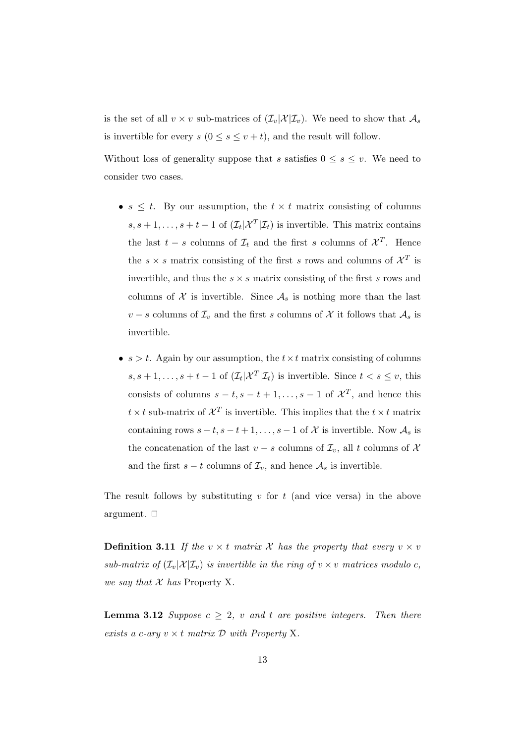is the set of all  $v \times v$  sub-matrices of  $(\mathcal{I}_v | \mathcal{X} | \mathcal{I}_v)$ . We need to show that  $\mathcal{A}_s$ is invertible for every  $s$  ( $0 \leq s \leq v + t$ ), and the result will follow.

Without loss of generality suppose that *s* satisfies  $0 \leq s \leq v$ . We need to consider two cases.

- $s \leq t$ . By our assumption, the  $t \times t$  matrix consisting of columns  $s, s + 1, \ldots, s + t - 1$  of  $(\mathcal{I}_t | \mathcal{X}^T | \mathcal{I}_t)$  is invertible. This matrix contains the last  $t - s$  columns of  $\mathcal{I}_t$  and the first *s* columns of  $\mathcal{X}^T$ . Hence the  $s \times s$  matrix consisting of the first *s* rows and columns of  $\mathcal{X}^T$  is invertible, and thus the  $s \times s$  matrix consisting of the first *s* rows and columns of  $\mathcal X$  is invertible. Since  $\mathcal A_s$  is nothing more than the last *v* − *s* columns of  $\mathcal{I}_v$  and the first *s* columns of  $\mathcal{X}$  it follows that  $\mathcal{A}_s$  is invertible.
- $s > t$ . Again by our assumption, the  $t \times t$  matrix consisting of columns  $s, s + 1, \ldots, s + t - 1$  of  $(\mathcal{I}_t | \mathcal{X}^T | \mathcal{I}_t)$  is invertible. Since  $t < s \leq v$ , this consists of columns  $s - t$ ,  $s - t + 1$ , ...,  $s - 1$  of  $\mathcal{X}^T$ , and hence this  $t \times t$  sub-matrix of  $\mathcal{X}^T$  is invertible. This implies that the  $t \times t$  matrix containing rows  $s - t$ ,  $s - t + 1$ , ...,  $s - 1$  of  $X$  is invertible. Now  $A_s$  is the concatenation of the last *v* − *s* columns of  $\mathcal{I}_v$ , all *t* columns of  $\mathcal{X}$ and the first  $s - t$  columns of  $\mathcal{I}_v$ , and hence  $\mathcal{A}_s$  is invertible.

The result follows by substituting *v* for *t* (and vice versa) in the above argument.  $\Box$ 

**Definition 3.11** If the  $v \times t$  matrix X has the property that every  $v \times v$ *sub-matrix of*  $(\mathcal{I}_v|\mathcal{X}|\mathcal{I}_v)$  *is invertible in the ring of*  $v \times v$  *matrices modulo c*, *we say that X has* Property X*.*

**Lemma 3.12** *Suppose*  $c \geq 2$ *, v and t are positive integers. Then there exists a c-ary*  $v \times t$  *matrix*  $D$  *with Property* X*.*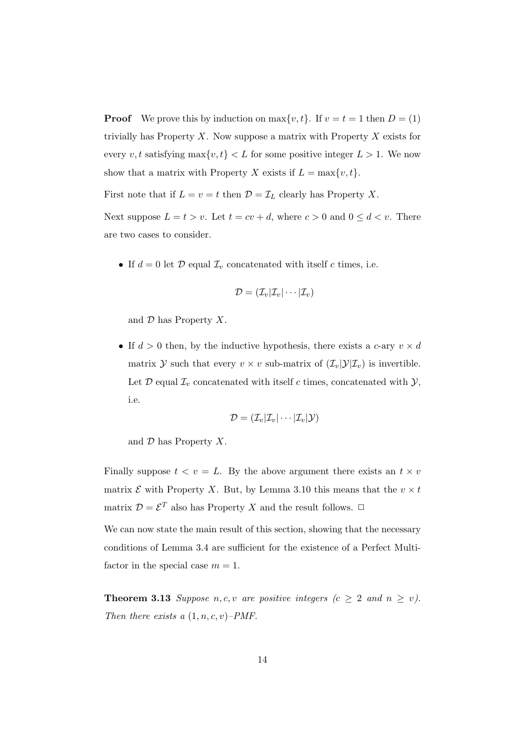**Proof** We prove this by induction on  $\max\{v, t\}$ . If  $v = t = 1$  then  $D = (1)$ trivially has Property *X*. Now suppose a matrix with Property *X* exists for every *v*, *t* satisfying  $\max\{v, t\} < L$  for some positive integer  $L > 1$ . We now show that a matrix with Property *X* exists if  $L = \max\{v, t\}$ .

First note that if  $L = v = t$  then  $\mathcal{D} = \mathcal{I}_L$  clearly has Property *X*.

Next suppose  $L = t > v$ . Let  $t = cv + d$ , where  $c > 0$  and  $0 \leq d < v$ . There are two cases to consider.

• If  $d = 0$  let  $\mathcal{D}$  equal  $\mathcal{I}_v$  concatenated with itself *c* times, i.e.

$$
\mathcal{D}=(\mathcal{I}_v|\mathcal{I}_v|\cdots|\mathcal{I}_v)
$$

and *D* has Property *X*.

• If  $d > 0$  then, by the inductive hypothesis, there exists a *c*-ary  $v \times d$ matrix *Y* such that every  $v \times v$  sub-matrix of  $(\mathcal{I}_v | \mathcal{Y} | \mathcal{I}_v)$  is invertible. Let  $\mathcal D$  equal  $\mathcal I_v$  concatenated with itself *c* times, concatenated with  $\mathcal Y$ , i.e.

$$
\mathcal{D} = (\mathcal{I}_v | \mathcal{I}_v | \cdots | \mathcal{I}_v | \mathcal{Y})
$$

and *D* has Property *X*.

Finally suppose  $t < v = L$ . By the above argument there exists an  $t \times v$ matrix  $\mathcal E$  with Property *X*. But, by Lemma 3.10 this means that the  $v \times t$ matrix  $\mathcal{D} = \mathcal{E}^T$  also has Property *X* and the result follows.  $\Box$ 

We can now state the main result of this section, showing that the necessary conditions of Lemma 3.4 are sufficient for the existence of a Perfect Multifactor in the special case  $m = 1$ .

**Theorem 3.13** *Suppose n, c, v are positive integers*  $(c \geq 2$  *and*  $n \geq v)$ *. Then there exists a* (1*, n, c, v*)*–PMF.*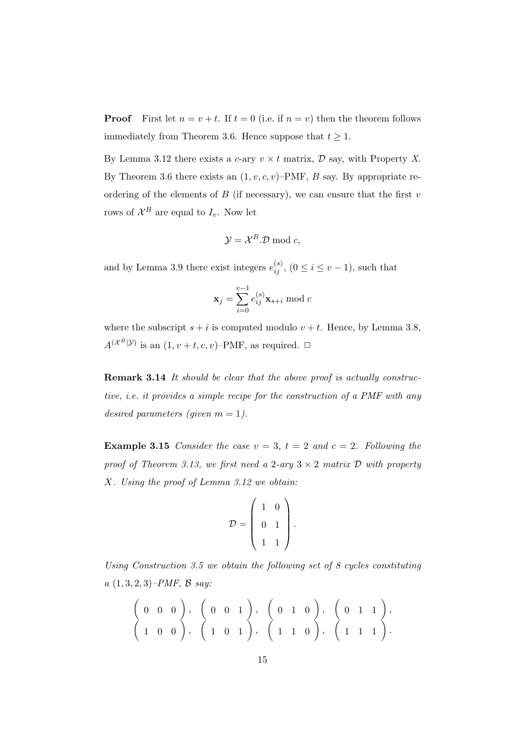**Proof** First let  $n = v + t$ . If  $t = 0$  (i.e. if  $n = v$ ) then the theorem follows immediately from Theorem 3.6. Hence suppose that  $t \geq 1$ .

By Lemma 3.12 there exists a *c*-ary  $v \times t$  matrix,  $\mathcal{D}$  say, with Property *X*. By Theorem 3.6 there exists an  $(1, v, c, v)$ –PMF, *B* say. By appropriate reordering of the elements of  $B$  (if necessary), we can ensure that the first  $v$ rows of  $\mathcal{X}^B$  are equal to  $I_v$ . Now let

$$
\mathcal{Y} = \mathcal{X}^B \mathcal{D} \bmod c,
$$

and by Lemma 3.9 there exist integers  $e_{ij}^{(s)}$ ,  $(0 \le i \le v-1)$ , such that

$$
\mathbf{x}_j = \sum_{i=0}^{v-1} e_{ij}^{(s)} \mathbf{x}_{s+i} \bmod c
$$

where the subscript  $s + i$  is computed modulo  $v + t$ . Hence, by Lemma 3.8,  $A^{(\mathcal{X}^B|\mathcal{Y})}$  is an  $(1, v+t, c, v)$ –PMF, as required.  $\Box$ 

**Remark 3.14** *It should be clear that the above proof is actually constructive, i.e. it provides a simple recipe for the construction of a PMF with any desired parameters (given m = 1).* 

**Example 3.15** *Consider the case*  $v = 3$ ,  $t = 2$  *and*  $c = 2$ *. Following the proof of Theorem 3.13, we first need a 2-ary*  $3 \times 2$  *matrix*  $D$  *with property X. Using the proof of Lemma 3.12 we obtain:*

$$
\mathcal{D} = \left(\begin{array}{cc} 1 & 0 \\ 0 & 1 \\ 1 & 1 \end{array}\right).
$$

*Using Construction 3.5 we obtain the following set of 8 cycles constituting a* (1*,* 3*,* 2*,* 3)*–PMF, B say:*

$$
\left(\begin{array}{cccc}0 & 0 & 0\\1 & 0 & 0\end{array}\right), \left(\begin{array}{cccc}0 & 0 & 1\\1 & 0 & 1\end{array}\right), \left(\begin{array}{cccc}0 & 1 & 0\\1 & 1 & 0\end{array}\right), \left(\begin{array}{cccc}0 & 1 & 1\\1 & 1 & 0\end{array}\right), \left(\begin{array}{cccc}1 & 1 & 1\end{array}\right), \left(\begin{array}{cccc}1 & 1 & 1\\1 & 1 & 1\end{array}\right).
$$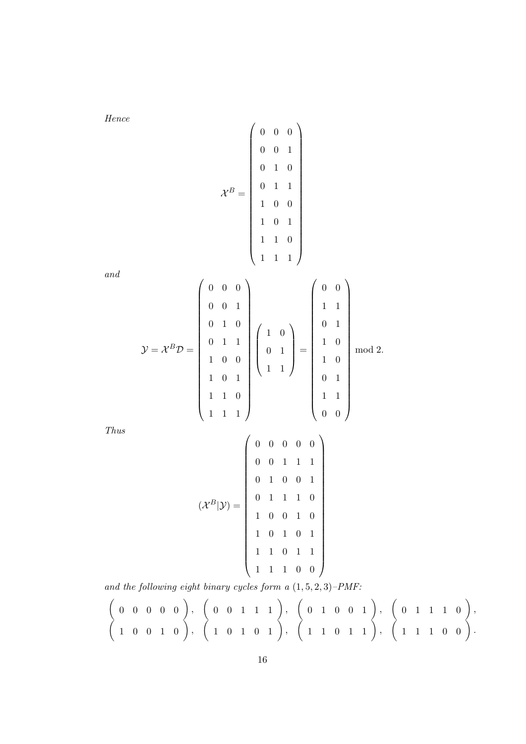*and*

$$
Thus
$$

$$
(\mathcal{X}^B|\mathcal{Y}) = \left(\begin{array}{cccccc} 0 & 0 & 0 & 0 & 0 \\ 0 & 0 & 1 & 1 & 1 \\ 0 & 1 & 0 & 0 & 1 \\ 0 & 1 & 1 & 1 & 0 \\ 1 & 0 & 0 & 1 & 0 \\ 1 & 0 & 1 & 0 & 1 \\ 1 & 1 & 0 & 1 & 1 \\ 1 & 1 & 1 & 0 & 0 \end{array}\right)
$$

*and the following eight binary cycles form a* (1*,* 5*,* 2*,* 3)*–PMF:*

$$
\begin{pmatrix} 0 & 0 & 0 & 0 & 0 \\ 1 & 0 & 0 & 1 & 0 \end{pmatrix}, \begin{pmatrix} 0 & 0 & 1 & 1 & 1 \\ 1 & 0 & 1 & 0 & 1 \end{pmatrix}, \begin{pmatrix} 0 & 1 & 0 & 0 & 1 \\ 1 & 1 & 0 & 1 & 1 \end{pmatrix}, \begin{pmatrix} 0 & 1 & 1 & 1 & 0 \\ 1 & 1 & 0 & 1 & 1 \end{pmatrix}, \begin{pmatrix} 0 & 1 & 1 & 1 & 0 \\ 1 & 1 & 1 & 0 & 0 \end{pmatrix}.
$$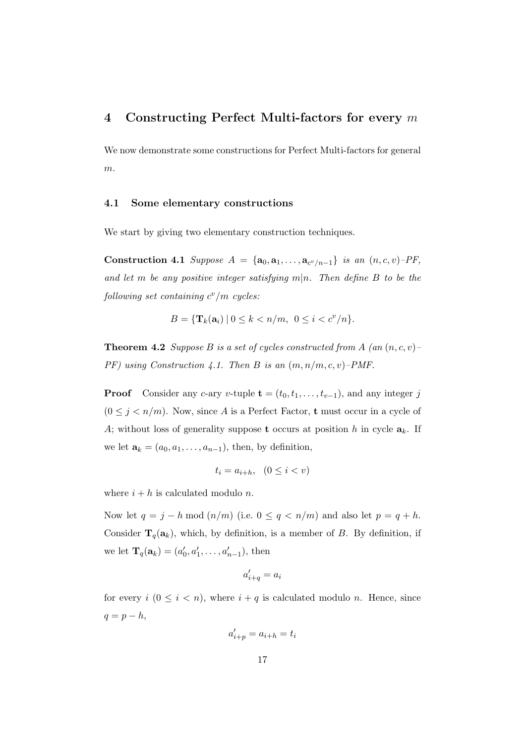### **4 Constructing Perfect Multi-factors for every** *m*

We now demonstrate some constructions for Perfect Multi-factors for general *m*.

#### **4.1 Some elementary constructions**

We start by giving two elementary construction techniques.

**Construction 4.1** *Suppose*  $A = \{a_0, a_1, \ldots, a_{c^v/n-1}\}$  *is an*  $(n, c, v)$ –*PF*, and let *m* be any positive integer satisfying  $m|n$ . Then define B to be the  $following set containing c<sup>v</sup>/m cycles:$ 

$$
B = \{ \mathbf{T}_k(\mathbf{a}_i) \mid 0 \le k < n/m, \ 0 \le i < c^v/n \}.
$$

**Theorem 4.2** *Suppose B is a set of cycles constructed from A (an* (*n, c, v*)*– PF) using Construction 4.1. Then B is an* (*m, n/m, c, v*)*–PMF.*

**Proof** Consider any *c*-ary *v*-tuple  $\mathbf{t} = (t_0, t_1, \ldots, t_{v-1})$ , and any integer *j*  $(0 \leq j < n/m)$ . Now, since *A* is a Perfect Factor, **t** must occur in a cycle of *A*; without loss of generality suppose **t** occurs at position *h* in cycle  $a_k$ . If we let  $\mathbf{a}_k = (a_0, a_1, \dots, a_{n-1})$ , then, by definition,

$$
t_i = a_{i+h}, \quad (0 \le i < v)
$$

where  $i + h$  is calculated modulo *n*.

Now let  $q = j - h \mod (n/m)$  (i.e.  $0 \le q < n/m$ ) and also let  $p = q + h$ . Consider  $\mathbf{T}_q(\mathbf{a}_k)$ , which, by definition, is a member of *B*. By definition, if we let  $\mathbf{T}_q(\mathbf{a}_k) = (a'_0, a'_1, \dots, a'_{n-1}),$  then

$$
a'_{i+q} = a_i
$$

for every  $i \ (0 \leq i < n)$ , where  $i + q$  is calculated modulo *n*. Hence, since  $q = p - h$ ,

$$
a'_{i+p} = a_{i+h} = t_i
$$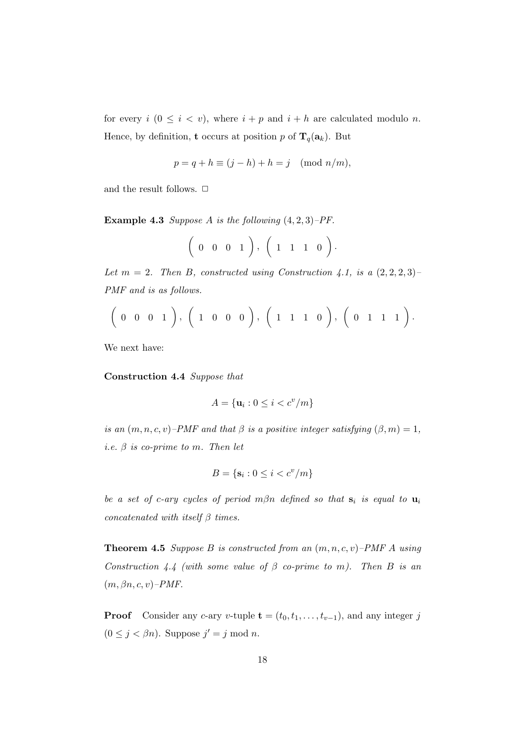for every  $i$  ( $0 \leq i < v$ ), where  $i + p$  and  $i + h$  are calculated modulo *n*. Hence, by definition, **t** occurs at position *p* of  $\mathbf{T}_q(\mathbf{a}_k)$ . But

$$
p = q + h \equiv (j - h) + h = j \pmod{n/m},
$$

and the result follows.  $\Box$ 

**Example 4.3** *Suppose A is the following* (4*,* 2*,* 3)*–PF.*

$$
\left(\begin{array}{cccc}0&0&0&1\end{array}\right),\ \left(\begin{array}{cccc}1&1&1&0\end{array}\right).
$$

*Let*  $m = 2$ *. Then*  $B$ *, constructed using Construction 4.1, is a*  $(2, 2, 2, 3)$ *– PMF and is as follows.*

$$
\left(\begin{array}{cccccc}0 & 0 & 0 & 1\end{array}\right), \left(\begin{array}{cccccc}1 & 0 & 0 & 0\end{array}\right), \left(\begin{array}{cccccc}1 & 1 & 1 & 0\end{array}\right), \left(\begin{array}{cccccc}0 & 1 & 1 & 1\end{array}\right).
$$

We next have:

**Construction 4.4** *Suppose that*

$$
A = \{ \mathbf{u}_i : 0 \le i < c^v / m \}
$$

*is an*  $(m, n, c, v)$ *–PMF and that*  $\beta$  *is a positive integer satisfying*  $(\beta, m) = 1$ *, i.e. β is co-prime to m. Then let*

$$
B = \{ \mathbf{s}_i : 0 \le i < c^v / m \}
$$

*be a set of c-ary cycles of period*  $m\beta n$  *defined so that*  $s_i$  *is equal to*  $u_i$ *concatenated with itself β times.*

**Theorem 4.5** *Suppose B is constructed from an* (*m, n, c, v*)*–PMF A using Construction 4.4 (with some value of β co-prime to m). Then B is an* (*m, βn, c, v*)*–PMF.*

**Proof** Consider any *c*-ary *v*-tuple  $\mathbf{t} = (t_0, t_1, \ldots, t_{v-1})$ , and any integer *j*  $(0 \leq j < \beta n)$ . Suppose  $j' = j \mod n$ .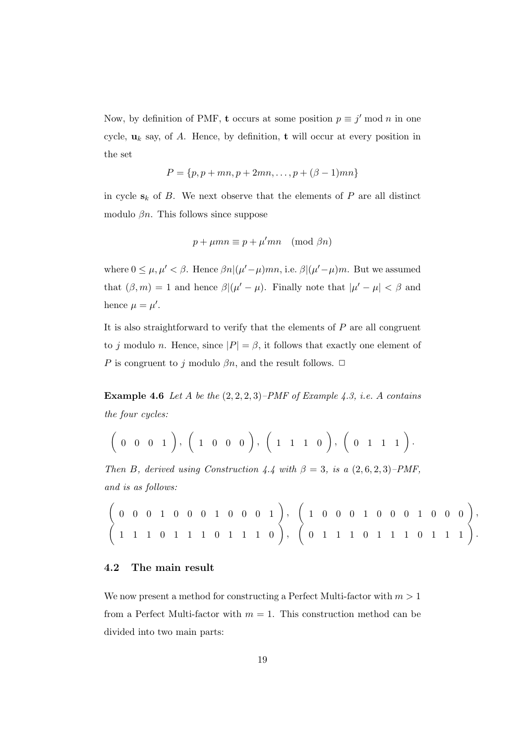Now, by definition of PMF, **t** occurs at some position  $p \equiv j' \mod n$  in one cycle,  $\mathbf{u}_k$  say, of A. Hence, by definition, **t** will occur at every position in the set

$$
P = \{p, p + mn, p + 2mn, \dots, p + (\beta - 1)mn\}
$$

in cycle  $s_k$  of *B*. We next observe that the elements of *P* are all distinct modulo *βn*. This follows since suppose

$$
p + \mu mn \equiv p + \mu' mn \pmod{\beta n}
$$

where  $0 \leq \mu, \mu' < \beta$ . Hence  $\beta n | (\mu' - \mu) mn$ , i.e.  $\beta | (\mu' - \mu) m$ . But we assumed that  $(\beta, m) = 1$  and hence  $\beta | (\mu' - \mu)$ . Finally note that  $|\mu' - \mu| < \beta$  and hence  $\mu = \mu'$ .

It is also straightforward to verify that the elements of *P* are all congruent to *j* modulo *n*. Hence, since  $|P| = \beta$ , it follows that exactly one element of *P* is congruent to *j* modulo  $\beta n$ , and the result follows.  $\Box$ 

**Example 4.6** *Let A be the* (2*,* 2*,* 2*,* 3)*–PMF of Example 4.3, i.e. A contains the four cycles:*

$$
(0 \ 0 \ 0 \ 1), (1 \ 0 \ 0 \ 0), (1 \ 1 \ 1 \ 0), (0 \ 1 \ 1 \ 1).
$$

*Then B, derived using Construction 4.4 with*  $\beta = 3$ *, is a*  $(2, 6, 2, 3)$ *–PMF*, *and is as follows:*

$$
\left(\begin{array}{cccccccccccccccc} 0 & 0 & 0 & 1 & 0 & 0 & 0 & 1 & 0 & 0 & 0 & 1 \\ 1 & 1 & 1 & 0 & 1 & 1 & 1 & 0 & 1 & 1 & 1 & 0 \end{array}\right), \quad \left(\begin{array}{cccccccc} 1 & 0 & 0 & 0 & 1 & 0 & 0 & 0 & 1 & 0 & 0 & 0 \\ 0 & 1 & 1 & 1 & 0 & 1 & 1 & 1 & 0 & 1 & 1 & 1 \end{array}\right),
$$

#### **4.2 The main result**

We now present a method for constructing a Perfect Multi-factor with *m >* 1 from a Perfect Multi-factor with  $m = 1$ . This construction method can be divided into two main parts: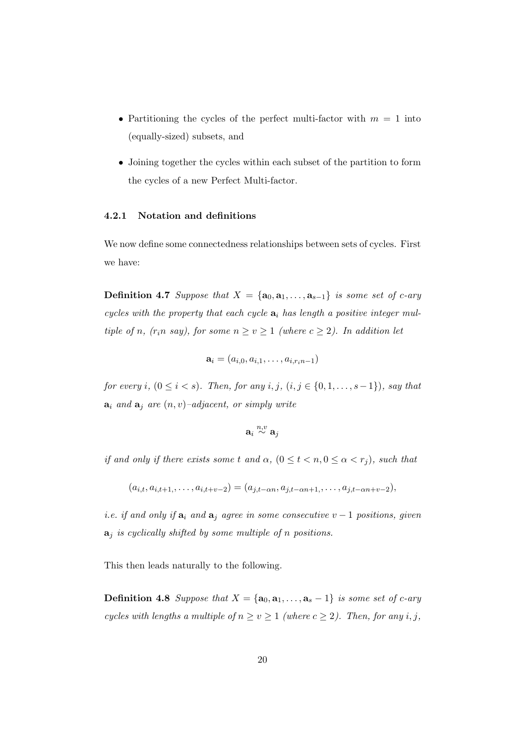- Partitioning the cycles of the perfect multi-factor with  $m = 1$  into (equally-sized) subsets, and
- *•* Joining together the cycles within each subset of the partition to form the cycles of a new Perfect Multi-factor.

#### **4.2.1 Notation and definitions**

We now define some connectedness relationships between sets of cycles. First we have:

**Definition 4.7** *Suppose that*  $X = \{a_0, a_1, \ldots, a_{s-1}\}$  *is some set of c-ary cycles with the property that each cycle* **a***<sup>i</sup> has length a positive integer multiple of n*,  $(r_i n \, \textit{say})$ , for some  $n \geq v \geq 1$  (where  $c \geq 2$ ). In addition let

$$
\mathbf{a}_i = (a_{i,0}, a_{i,1}, \ldots, a_{i,r_in-1})
$$

*for every i*,  $(0 \le i < s)$ *. Then, for any i, j,*  $(i, j \in \{0, 1, \ldots, s - 1\})$ *, say that*  $a_i$  *and*  $a_j$  *are*  $(n, v)$ *–adjacent, or simply write* 

$$
\mathbf{a}_i \stackrel{n,v}{\sim} \mathbf{a}_j
$$

*if and only if there exists some t and*  $\alpha$ *,*  $(0 \leq t < n, 0 \leq \alpha < r_j)$ *, such that* 

 $(a_{i,t}, a_{i,t+1}, \ldots, a_{i,t+v-2}) = (a_{j,t-\alpha n}, a_{j,t-\alpha n+1}, \ldots, a_{j,t-\alpha n+v-2}),$ 

*i.e. if and only if*  $\mathbf{a}_i$  *and*  $\mathbf{a}_j$  *agree in some consecutive*  $v-1$  *positions, given* **a***<sup>j</sup> is cyclically shifted by some multiple of n positions.*

This then leads naturally to the following.

**Definition 4.8** *Suppose that*  $X = \{a_0, a_1, \ldots, a_s - 1\}$  *is some set of c-ary cycles with lengths a multiple of*  $n \ge v \ge 1$  *(where*  $c \ge 2$ *). Then, for any i, j,*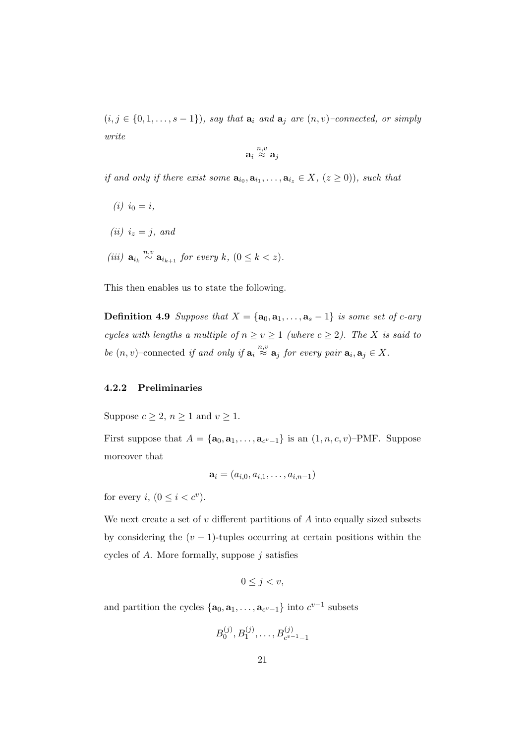$(i, j \in \{0, 1, \ldots, s - 1\})$ *, say that*  $\mathbf{a}_i$  *and*  $\mathbf{a}_j$  *are*  $(n, v)$ *–connected, or simply write*

$$
\mathbf{a}_i \stackrel{n,v}{\approx} \mathbf{a}_j
$$

*if and only if there exist some*  $\mathbf{a}_{i_0}, \mathbf{a}_{i_1}, \ldots, \mathbf{a}_{i_z} \in X, (z \ge 0)$ , such that

- $(i)$   $i_0 = i$ ,
- $(iii)$   $i_z = j$ *, and*
- *(iii)*  $\mathbf{a}_{i_k} \stackrel{n,v}{\sim} \mathbf{a}_{i_{k+1}}$  *for every*  $k$ *,*  $(0 \leq k < z)$ *.*

This then enables us to state the following.

**Definition 4.9** *Suppose that*  $X = \{a_0, a_1, \ldots, a_s - 1\}$  *is some set of c-ary cycles with lengths a multiple of*  $n \ge v \ge 1$  *(where*  $c \ge 2$ *). The X is said to be*  $(n, v)$ –connected *if and only if*  $\mathbf{a}_i \stackrel{n, v}{\approx} \mathbf{a}_j$  *for every pair*  $\mathbf{a}_i, \mathbf{a}_j \in X$ *.* 

#### **4.2.2 Preliminaries**

Suppose  $c \geq 2$ ,  $n \geq 1$  and  $v \geq 1$ .

First suppose that  $A = {\mathbf{a}_0, \mathbf{a}_1, \dots, \mathbf{a}_{c^v-1}}$  is an  $(1, n, c, v)$ –PMF. Suppose moreover that

$$
\mathbf{a}_i = (a_{i,0}, a_{i,1}, \dots, a_{i,n-1})
$$

for every *i*,  $(0 \leq i < c^v)$ .

We next create a set of *v* different partitions of *A* into equally sized subsets by considering the  $(v - 1)$ -tuples occurring at certain positions within the cycles of *A*. More formally, suppose *j* satisfies

$$
0 \le j < v
$$

and partition the cycles  $\{a_0, a_1, \ldots, a_{c^v-1}\}$  into  $c^{v-1}$  subsets

$$
B_0^{(j)}, B_1^{(j)}, \ldots, B_{c^{v-1}-1}^{(j)}
$$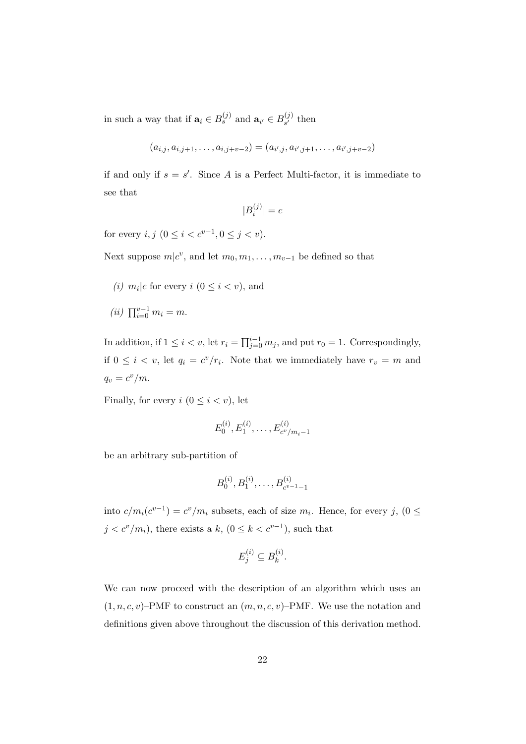in such a way that if  $\mathbf{a}_i \in B_s^{(j)}$  and  $\mathbf{a}_{i'} \in B_{s'}^{(j)}$  $\int_{s'}^{(J)}$  then

$$
(a_{i,j}, a_{i,j+1}, \ldots, a_{i,j+v-2}) = (a_{i',j}, a_{i',j+1}, \ldots, a_{i',j+v-2})
$$

if and only if  $s = s'$ . Since A is a Perfect Multi-factor, it is immediate to see that

$$
\vert B_i^{(j)}\vert =c
$$

for every  $i, j \ (0 \leq i < c^{v-1}, 0 \leq j < v)$ .

Next suppose  $m|c^v$ , and let  $m_0, m_1, \ldots, m_{v-1}$  be defined so that

- (*i*)  $m_i | c$  for every  $i (0 \leq i < v)$ , and
- $(iii)$   $\prod_{i=0}^{v-1} m_i = m$ .

In addition, if  $1 \leq i < v$ , let  $r_i = \prod_{j=0}^{i-1} m_j$ , and put  $r_0 = 1$ . Correspondingly, if  $0 \leq i \leq v$ , let  $q_i = c^v/r_i$ . Note that we immediately have  $r_v = m$  and  $q_v = c^v/m$ .

Finally, for every  $i$  ( $0 \leq i \leq v$ ), let

$$
E_0^{(i)}, E_1^{(i)}, \ldots, E_{c^v/m_i-1}^{(i)}
$$

be an arbitrary sub-partition of

$$
B_0^{(i)}, B_1^{(i)}, \ldots, B_{c^{v-1}-1}^{(i)}
$$

into  $c/m_i(c^{v-1}) = c^v/m_i$  subsets, each of size  $m_i$ . Hence, for every *j*, (0 ≤  $j < c<sup>v</sup>/m<sub>i</sub>$ ), there exists a  $k$ ,  $(0 \leq k < c<sup>v-1</sup>)$ , such that

$$
E_j^{(i)} \subseteq B_k^{(i)}.
$$

We can now proceed with the description of an algorithm which uses an  $(1, n, c, v)$ –PMF to construct an  $(m, n, c, v)$ –PMF. We use the notation and definitions given above throughout the discussion of this derivation method.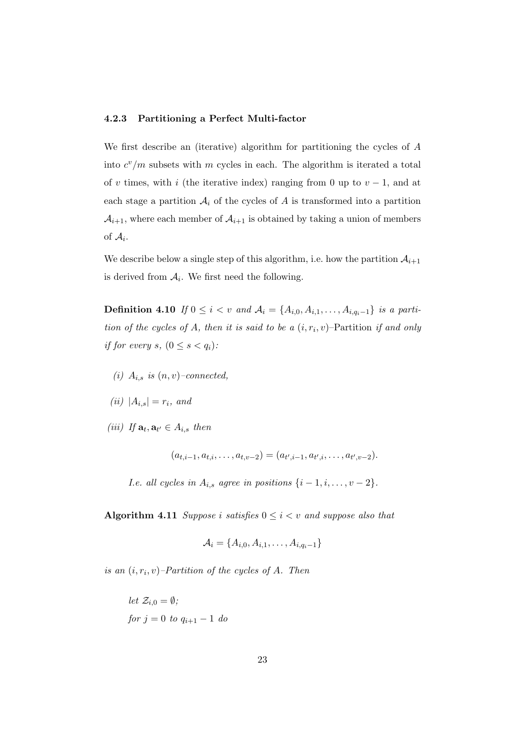#### **4.2.3 Partitioning a Perfect Multi-factor**

We first describe an (iterative) algorithm for partitioning the cycles of *A* into  $c^v/m$  subsets with  $m$  cycles in each. The algorithm is iterated a total of *v* times, with *i* (the iterative index) ranging from 0 up to  $v - 1$ , and at each stage a partition  $A_i$  of the cycles of  $A$  is transformed into a partition  $A_{i+1}$ , where each member of  $A_{i+1}$  is obtained by taking a union of members of  $A_i$ .

We describe below a single step of this algorithm, i.e. how the partition  $A_{i+1}$ is derived from  $A_i$ . We first need the following.

**Definition 4.10** *If* 0 ≤ *i* < *v and*  $A_i = \{A_{i,0}, A_{i,1}, \ldots, A_{i,q_i-1}\}$  *is a partition of the cycles of A, then it is said to be a*  $(i, r_i, v)$ *–Partition <i>if and only if for every s*,  $(0 \leq s < q_i)$ :

- $(i)$   $A_{i,s}$  *is*  $(n, v)$ –*connected,*
- $(iii)$   $|A_{i,s}| = r_i$ *, and*
- $(iii)$  *If*  $\mathbf{a}_t, \mathbf{a}_{t'} \in A_{i,s}$  *then*

 $(a_{t,i-1}, a_{t,i}, \ldots, a_{t,v-2}) = (a_{t',i-1}, a_{t',i}, \ldots, a_{t',v-2}).$ 

*I.e. all cycles in*  $A_{i,s}$  *agree in positions*  $\{i-1, i, \ldots, v-2\}$ *.* 

**Algorithm 4.11** *Suppose i satisfies*  $0 \leq i < v$  *and suppose also that* 

$$
\mathcal{A}_i = \{A_{i,0}, A_{i,1}, \dots, A_{i,q_i-1}\}
$$

*is an*  $(i, r_i, v)$ *–Partition of the cycles of A. Then* 

let 
$$
\mathcal{Z}_{i,0} = \emptyset
$$
;  
for  $j = 0$  to  $q_{i+1} - 1$  do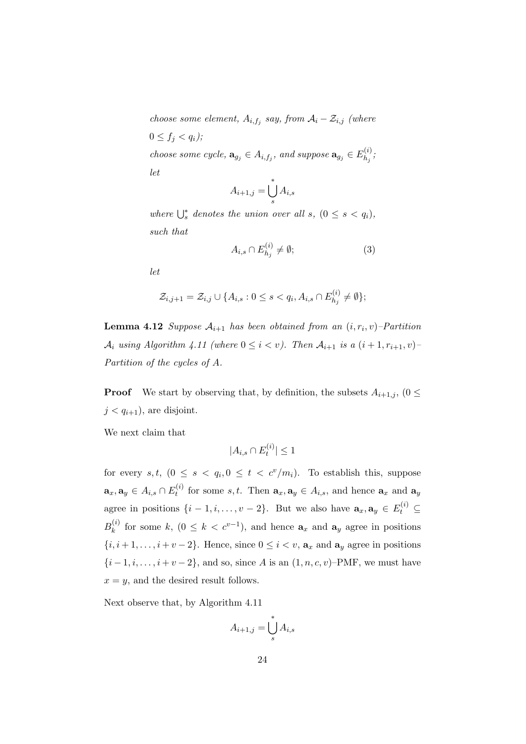*choose some element,*  $A_{i,f_j}$  *say, from*  $A_i - \mathcal{Z}_{i,j}$  *(where*  $0 \le f_j < q_i$ ; *choose some cycle,*  $\mathbf{a}_{g_j} \in A_{i,f_j}$ *, and suppose*  $\mathbf{a}_{g_j} \in E_{h_j}^{(i)}$  $h_j^{(i)}$ *let*

$$
A_{i+1,j} = \bigcup_{s}^{*} A_{i,s}
$$

*where*  $\bigcup_{s}^{*}$  *denotes the union over all s,*  $(0 \leq s \leq q_i)$ *, such that*

$$
A_{i,s} \cap E_{h_j}^{(i)} \neq \emptyset;
$$
\n<sup>(3)</sup>

*let*

$$
\mathcal{Z}_{i,j+1} = \mathcal{Z}_{i,j} \cup \{ A_{i,s} : 0 \le s < q_i, A_{i,s} \cap E_{h_j}^{(i)} \neq \emptyset \};
$$

**Lemma 4.12** *Suppose*  $A_{i+1}$  *has been obtained from an*  $(i, r_i, v)$ –*Partition A*<sup>*i*</sup> *using Algorithm 4.11 (where*  $0 \leq i < v$ ). Then  $A_{i+1}$  *is a*  $(i+1, r_{i+1}, v)$ *Partition of the cycles of A.*

**Proof** We start by observing that, by definition, the subsets  $A_{i+1,j}$ , (0  $\leq$  $j < q_{i+1}$ , are disjoint.

We next claim that

$$
|A_{i,s} \cap E_t^{(i)}| \leq 1
$$

for every  $s, t, (0 \le s < q_i, 0 \le t < c^v/m_i)$ . To establish this, suppose  $\mathbf{a}_x, \mathbf{a}_y \in A_{i,s} \cap E_t^{(i)}$ *t*<sup>*t*</sup> for some *s*, *t*. Then  $\mathbf{a}_x, \mathbf{a}_y \in A_{i,s}$ , and hence  $\mathbf{a}_x$  and  $\mathbf{a}_y$ agree in positions  $\{i - 1, i, \ldots, v - 2\}$ . But we also have  $\mathbf{a}_x, \mathbf{a}_y \in E_t^{(i)} \subseteq$  $B_k^{(i)}$  $k_k^{(i)}$  for some  $k, (0 \leq k < c^{v-1})$ , and hence  $a_x$  and  $a_y$  agree in positions *{i, i* + 1*, . . . , i* + *v* − 2*}*. Hence, since  $0 \le i < v$ ,  $a_x$  and  $a_y$  agree in positions *{i* − 1*, i, . . . , i* + *v* − 2*}*, and so, since *A* is an (1*, n, c, v*)–PMF, we must have  $x = y$ , and the desired result follows.

Next observe that, by Algorithm 4.11

$$
A_{i+1,j} = \bigcup_{s}^{*} A_{i,s}
$$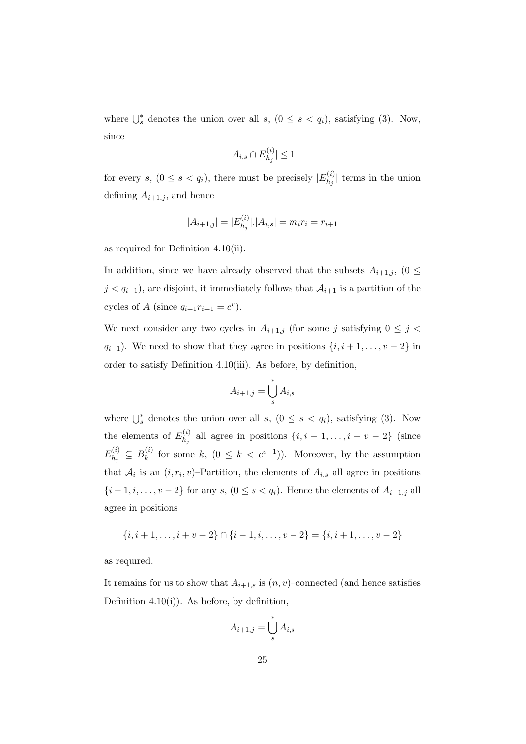where  $\bigcup_{s}^{*}$  denotes the union over all *s*,  $(0 \leq s \leq q_i)$ , satisfying (3). Now, since

$$
|A_{i,s} \cap E_{h_j}^{(i)}| \leq 1
$$

for every *s*,  $(0 \le s < q_i)$ , there must be precisely  $|E_{h_i}^{(i)}|$  $\binom{n^{(t)}}{h_j}$  terms in the union defining  $A_{i+1,j}$ , and hence

$$
|A_{i+1,j}| = |E_{h_j}^{(i)}|. |A_{i,s}| = m_i r_i = r_{i+1}
$$

as required for Definition 4.10(ii).

In addition, since we have already observed that the subsets  $A_{i+1,j}$ , (0  $\leq$  $j < q_{i+1}$ , are disjoint, it immediately follows that  $A_{i+1}$  is a partition of the cycles of *A* (since  $q_{i+1}r_{i+1} = c^v$ ).

We next consider any two cycles in  $A_{i+1,j}$  (for some *j* satisfying  $0 \leq j <$ *q*<sub>*i*+1</sub>). We need to show that they agree in positions  $\{i, i+1, \ldots, v-2\}$  in order to satisfy Definition 4.10(iii). As before, by definition,

$$
A_{i+1,j} = \bigcup_{s}^{*} A_{i,s}
$$

where  $\bigcup_{s}^{*}$  denotes the union over all *s*,  $(0 \leq s \leq q_i)$ , satisfying (3). Now the elements of  $E_{h_i}^{(i)}$  $h_j^{(i)}$  all agree in positions  $\{i, i + 1, \ldots, i + v - 2\}$  (since  $E_h^{(i)}$  $B_k^{(i)} \subseteq B_k^{(i)}$  $f_k^{(i)}$  for some  $k$ ,  $(0 \leq k < c^{v-1})$ ). Moreover, by the assumption that  $A_i$  is an  $(i, r_i, v)$ –Partition, the elements of  $A_{i,s}$  all agree in positions *{i* − 1*, i, . . . , v* − 2*}* for any *s*, (0 ≤ *s* < *q<sub>i</sub>*). Hence the elements of  $A$ <sub>*i*+1*,j* all</sub> agree in positions

$$
\{i, i+1, \ldots, i+v-2\} \cap \{i-1, i, \ldots, v-2\} = \{i, i+1, \ldots, v-2\}
$$

as required.

It remains for us to show that  $A_{i+1,s}$  is  $(n, v)$ –connected (and hence satisfies Definition 4.10(i)). As before, by definition,

$$
A_{i+1,j} = \bigcup_{s}^{*} A_{i,s}
$$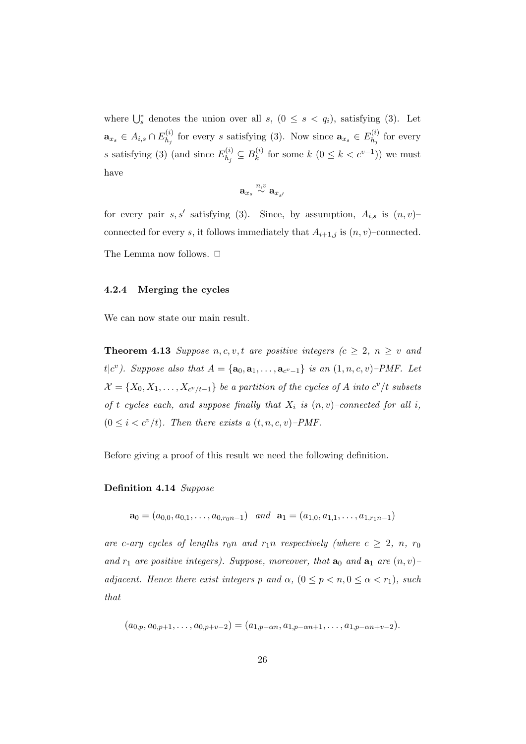where  $\bigcup_{s}^{*}$  denotes the union over all *s*,  $(0 \leq s \leq q_i)$ , satisfying (3). Let  $\mathbf{a}_{x_s} \in A_{i,s} \cap E_{h_i}^{(i)}$  $h_j^{(i)}$  for every *s* satisfying (3). Now since  $\mathbf{a}_{x_s} \in E_{h_j}^{(i)}$  $\int_{h_j}^{h_j}$  for every *s* satisfying (3) (and since  $E_{h_i}^{(i)}$  $B_k^{(i)} \subseteq B_k^{(i)}$  $f_k^{(i)}$  for some  $k$   $(0 \leq k < c^{v-1})$ ) we must have

$$
\mathbf{a}_{x_s} \stackrel{n,v}{\sim} \mathbf{a}_{x_{s'}}
$$

for every pair  $s, s'$  satisfying (3). Since, by assumption,  $A_{i,s}$  is  $(n, v)$ connected for every *s*, it follows immediately that  $A_{i+1,j}$  is  $(n, v)$ –connected. The Lemma now follows.  $\Box$ 

#### **4.2.4 Merging the cycles**

We can now state our main result.

**Theorem 4.13** *Suppose*  $n, c, v, t$  *are positive integers*  $(c \geq 2, n \geq v$  *and t*| $c^v$ ). Suppose also that  $A = {\bf{a_0, a_1, \ldots, a_{c^v-1}}}$  is an  $(1, n, c, v)$ –*PMF. Let*  $\mathcal{X} = \{X_0, X_1, \ldots, X_{c^v/t-1}\}$  *be a partition of the cycles of A into*  $c^v/t$  *subsets of t cycles each, and suppose finally that*  $X_i$  *is*  $(n, v)$ *–connected for all i*,  $(0 \leq i < c^{\nu}/t)$ . Then there exists a  $(t, n, c, \nu)$ -PMF.

Before giving a proof of this result we need the following definition.

#### **Definition 4.14** *Suppose*

 $\mathbf{a}_0 = (a_{0,0}, a_{0,1}, \ldots, a_{0,rnn-1})$  *and*  $\mathbf{a}_1 = (a_{1,0}, a_{1,1}, \ldots, a_{1,rnn-1})$ 

*are c*-*ary cycles of lengths*  $r_0n$  *and*  $r_1n$  *respectively (where*  $c \geq 2$ ,  $n$ ,  $r_0$ *and*  $r_1$  *are positive integers). Suppose, moreover, that*  $\mathbf{a}_0$  *and*  $\mathbf{a}_1$  *are*  $(n, v)$ *adjacent. Hence there exist integers*  $p$  *and*  $\alpha$ ,  $(0 \leq p < n, 0 \leq \alpha < r_1)$ , such *that*

$$
(a_{0,p}, a_{0,p+1}, \ldots, a_{0,p+v-2}) = (a_{1,p-\alpha n}, a_{1,p-\alpha n+1}, \ldots, a_{1,p-\alpha n+v-2}).
$$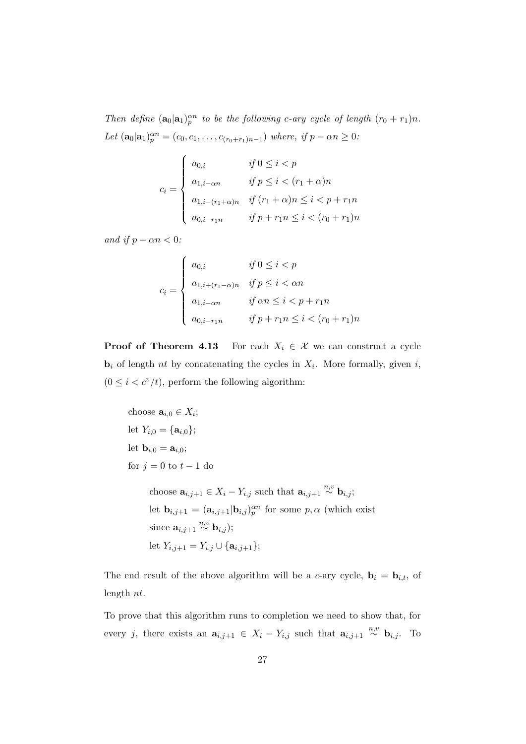*Then define*  $(\mathbf{a}_0 | \mathbf{a}_1)_{p}^{\alpha n}$  *to be the following c-ary cycle of length*  $(r_0 + r_1)n$ *. Let*  $(\mathbf{a}_0 | \mathbf{a}_1)_{p}^{\alpha n} = (c_0, c_1, \dots, c_{(r_0+r_1)n-1})$  *where, if*  $p - \alpha n \geq 0$ :

$$
c_i = \begin{cases} a_{0,i} & \text{if } 0 \le i < p \\ a_{1,i-\alpha n} & \text{if } p \le i < (r_1 + \alpha)n \\ a_{1,i-(r_1+\alpha)n} & \text{if } (r_1 + \alpha)n \le i < p + r_1n \\ a_{0,i-r_1 n} & \text{if } p + r_1 n \le i < (r_0 + r_1)n \end{cases}
$$

*and if*  $p - \alpha n < 0$ *:* 

$$
c_i = \begin{cases} a_{0,i} & \text{if } 0 \le i < p \\ a_{1,i+(r_1-\alpha)n} & \text{if } p \le i < \alpha n \\ a_{1,i-\alpha n} & \text{if } \alpha n \le i < p+r_1 n \\ a_{0,i-r_1 n} & \text{if } p+r_1 n \le i < (r_0+r_1)n \end{cases}
$$

**Proof of Theorem 4.13** For each  $X_i \in \mathcal{X}$  we can construct a cycle  $\mathbf{b}_i$  of length *nt* by concatenating the cycles in  $X_i$ . More formally, given *i*,  $(0 \leq i < c^{\nu}/t)$ , perform the following algorithm:

```
choose \mathbf{a}_{i,0} \in X_i;
let Y_{i,0} = {\mathbf{a}_{i,0}};let b<sub>i,0</sub> = a<sub>i,0</sub>;
for j = 0 to t - 1 do
          choose \mathbf{a}_{i,j+1} \in X_i - Y_{i,j} such that \mathbf{a}_{i,j+1} \stackrel{n,v}{\sim} \mathbf{b}_{i,j};
          let \mathbf{b}_{i,j+1} = (\mathbf{a}_{i,j+1} | \mathbf{b}_{i,j})_p^{\alpha n} for some p, \alpha (which exist
          since \mathbf{a}_{i,j+1} \overset{n,v}{\sim} \mathbf{b}_{i,j};
         let Yi,j+1 = Yi,j ∪ {ai,j+1};
```
The end result of the above algorithm will be a *c*-ary cycle,  $\mathbf{b}_i = \mathbf{b}_{i,t}$ , of length *nt*.

To prove that this algorithm runs to completion we need to show that, for every *j*, there exists an  $\mathbf{a}_{i,j+1} \in X_i - Y_{i,j}$  such that  $\mathbf{a}_{i,j+1} \stackrel{n,v}{\sim} \mathbf{b}_{i,j}$ . To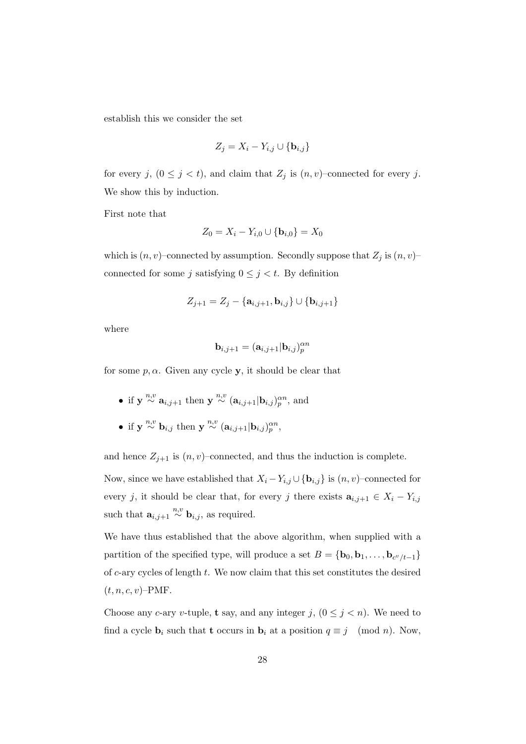establish this we consider the set

$$
Z_j = X_i - Y_{i,j} \cup \{ \mathbf{b}_{i,j} \}
$$

for every *j*,  $(0 \leq j < t)$ , and claim that  $Z_j$  is  $(n, v)$ –connected for every *j*. We show this by induction.

First note that

$$
Z_0 = X_i - Y_{i,0} \cup \{ \mathbf{b}_{i,0} \} = X_0
$$

which is  $(n, v)$ –connected by assumption. Secondly suppose that  $Z_j$  is  $(n, v)$ – connected for some *j* satisfying  $0 \leq j < t$ . By definition

$$
Z_{j+1}=Z_j-\{\mathbf{a}_{i,j+1},\mathbf{b}_{i,j}\}\cup\{\mathbf{b}_{i,j+1}\}
$$

where

$$
\mathbf{b}_{i,j+1} = (\mathbf{a}_{i,j+1} | \mathbf{b}_{i,j})_p^{\alpha n}
$$

for some  $p, \alpha$ . Given any cycle **y**, it should be clear that

- *•* if **y** <sup>*n,v*</sup>  $\propto$  **a**<sub>*i,j*+1</sub> then **y** <sup>*n*,*v*</sup>  $\propto$  (**a**<sub>*i,j*+1</sub>|**b**<sub>*i,j*</sub>)<sub>*p*</sub><sup>*n*</sup>, and
- if  $y \stackrel{n,v}{\sim} b_{i,j}$  then  $y \stackrel{n,v}{\sim} (a_{i,j+1} | b_{i,j})_p^{\alpha n}$ ,

and hence  $Z_{j+1}$  is  $(n, v)$ –connected, and thus the induction is complete.

Now, since we have established that  $X_i - Y_{i,j} \cup {\mathbf{b}_{i,j}}$  is  $(n, v)$ –connected for every *j*, it should be clear that, for every *j* there exists  $\mathbf{a}_{i,j+1} \in X_i - Y_{i,j}$ such that  $\mathbf{a}_{i,j+1} \stackrel{n,v}{\sim} \mathbf{b}_{i,j}$ , as required.

We have thus established that the above algorithm, when supplied with a partition of the specified type, will produce a set  $B = {\bf{b}}_0, {\bf{b}}_1, \ldots, {\bf{b}}_{c^v/t-1}$ of *c*-ary cycles of length *t*. We now claim that this set constitutes the desired  $(t, n, c, v)$ –PMF.

Choose any *c*-ary *v*-tuple, **t** say, and any integer  $j$ ,  $(0 \leq j \leq n)$ . We need to find a cycle  $\mathbf{b}_i$  such that **t** occurs in  $\mathbf{b}_i$  at a position  $q \equiv j \pmod{n}$ . Now,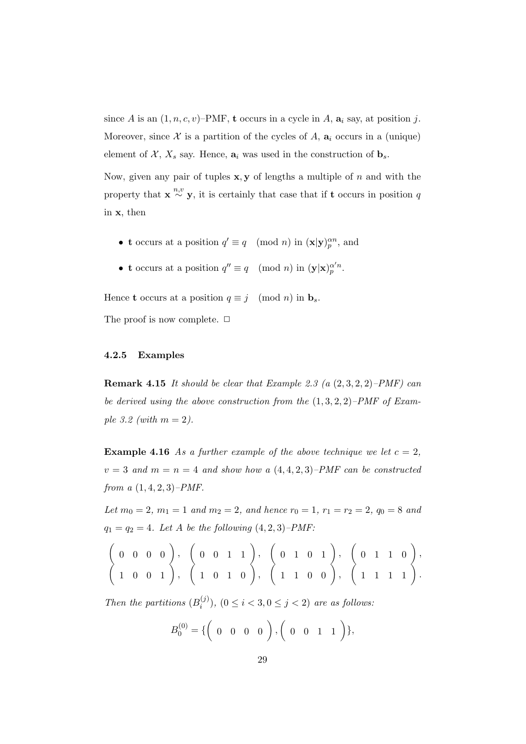since *A* is an  $(1, n, c, v)$ –PMF, **t** occurs in a cycle in *A*,  $a_i$  say, at position *j*. Moreover, since  $\mathcal X$  is a partition of the cycles of  $A$ ,  $a_i$  occurs in a (unique) element of  $\mathcal{X}, X_s$  say. Hence,  $\mathbf{a}_i$  was used in the construction of  $\mathbf{b}_s$ .

Now, given any pair of tuples **x***,* **y** of lengths a multiple of *n* and with the property that  $\mathbf{x} \stackrel{n,v}{\sim} \mathbf{y}$ , it is certainly that case that if **t** occurs in position *q* in **x**, then

- **t** occurs at a position  $q' \equiv q \pmod{n}$  in  $(\mathbf{x}|\mathbf{y})_p^{\alpha n}$ , and
- **t** occurs at a position  $q'' \equiv q \pmod{n}$  in  $(\mathbf{y}|\mathbf{x})_p^{\alpha'n}$ .

Hence **t** occurs at a position  $q \equiv j \pmod{n}$  in  $\mathbf{b}_s$ .

The proof is now complete.  $\Box$ 

#### **4.2.5 Examples**

**Remark 4.15** *It should be clear that Example 2.3 (a* (2*,* 3*,* 2*,* 2)*–PMF) can be derived using the above construction from the* (1*,* 3*,* 2*,* 2)*–PMF of Example 3.2 (with m* = 2*).*

**Example 4.16** As a further example of the above technique we let  $c = 2$ ,  $v = 3$  *and*  $m = n = 4$  *and show how a*  $(4, 4, 2, 3)$ *–PMF can be constructed from a* (1*,* 4*,* 2*,* 3)*–PMF.*

*Let*  $m_0 = 2$ ,  $m_1 = 1$  *and*  $m_2 = 2$ , *and hence*  $r_0 = 1$ ,  $r_1 = r_2 = 2$ ,  $q_0 = 8$  *and*  $q_1 = q_2 = 4$ *. Let A be the following*  $(4, 2, 3)$ *–PMF*:

$$
\left(\begin{array}{cccccc} 0 & 0 & 0 & 0 \\ 1 & 0 & 0 & 1 \end{array}\right), \quad \left(\begin{array}{cccccc} 0 & 0 & 1 & 1 \\ 1 & 0 & 1 & 0 \end{array}\right), \quad \left(\begin{array}{cccccc} 0 & 1 & 0 & 1 \\ 1 & 1 & 0 & 0 \end{array}\right), \quad \left(\begin{array}{cccccc} 0 & 1 & 1 & 0 \\ 1 & 1 & 0 & 0 \end{array}\right), \quad \left(\begin{array}{cccccc} 1 & 1 & 1 & 1 \\ 1 & 1 & 1 & 1 \end{array}\right).
$$

*Then the partitions*  $(B_i^{(j)}$  $(i^{(J)}_i), (0 \leq i < 3, 0 \leq j < 2)$  *are as follows:* 

$$
B_0^{(0)} = \{ \begin{pmatrix} 0 & 0 & 0 & 0 \end{pmatrix}, \begin{pmatrix} 0 & 0 & 1 & 1 \end{pmatrix} \},
$$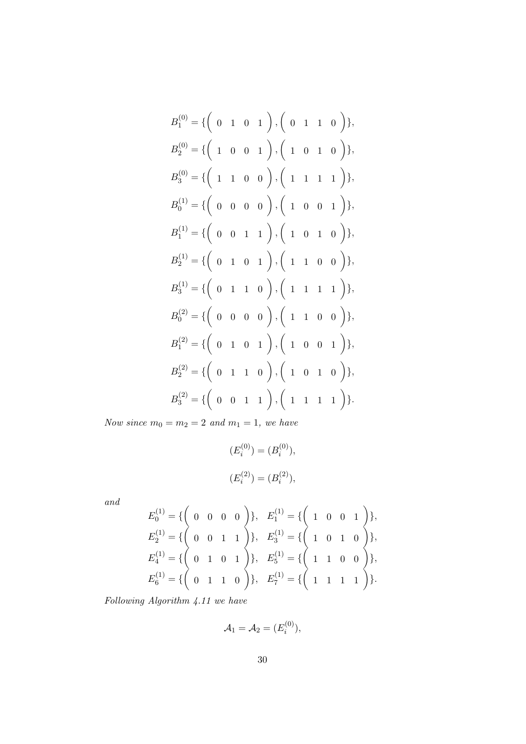$$
B_1^{(0)} = \{ \begin{pmatrix} 0 & 1 & 0 & 1 \end{pmatrix}, \begin{pmatrix} 0 & 1 & 1 & 0 \end{pmatrix} \},
$$
  
\n
$$
B_2^{(0)} = \{ \begin{pmatrix} 1 & 0 & 0 & 1 \end{pmatrix}, \begin{pmatrix} 1 & 0 & 1 & 0 \end{pmatrix} \},
$$
  
\n
$$
B_3^{(0)} = \{ \begin{pmatrix} 1 & 1 & 0 & 0 \end{pmatrix}, \begin{pmatrix} 1 & 1 & 1 & 1 \end{pmatrix} \},
$$
  
\n
$$
B_0^{(1)} = \{ \begin{pmatrix} 0 & 0 & 0 & 0 \end{pmatrix}, \begin{pmatrix} 1 & 0 & 0 & 1 \end{pmatrix} \},
$$
  
\n
$$
B_1^{(1)} = \{ \begin{pmatrix} 0 & 0 & 1 & 1 \end{pmatrix}, \begin{pmatrix} 1 & 0 & 1 & 0 \end{pmatrix} \},
$$
  
\n
$$
B_2^{(1)} = \{ \begin{pmatrix} 0 & 1 & 0 & 1 \end{pmatrix}, \begin{pmatrix} 1 & 1 & 0 & 0 \end{pmatrix} \},
$$
  
\n
$$
B_3^{(2)} = \{ \begin{pmatrix} 0 & 1 & 0 & 0 \end{pmatrix}, \begin{pmatrix} 1 & 1 & 1 & 0 & 0 \end{pmatrix} \},
$$
  
\n
$$
B_2^{(2)} = \{ \begin{pmatrix} 0 & 1 & 0 & 1 \end{pmatrix}, \begin{pmatrix} 1 & 0 & 0 & 1 \end{pmatrix} \},
$$
  
\n
$$
B_2^{(2)} = \{ \begin{pmatrix} 0 & 1 & 1 & 0 \end{pmatrix}, \begin{pmatrix} 1 & 0 & 0 & 1 \end{pmatrix} \},
$$
  
\n
$$
B_3^{(2)} = \{ \begin{pmatrix} 0 & 1 & 1 & 0 \end{pmatrix}, \begin{pmatrix} 1 & 0 & 1 & 0 \end{pmatrix} \},
$$

*Now since*  $m_0 = m_2 = 2$  *and*  $m_1 = 1$ *, we have* 

$$
(E_i^{(0)}) = (B_i^{(0)}),
$$
  

$$
(E_i^{(2)}) = (B_i^{(2)}),
$$

*and*

$$
E_0^{(1)} = \{ \begin{pmatrix} 0 & 0 & 0 & 0 \end{pmatrix} \}, E_1^{(1)} = \{ \begin{pmatrix} 1 & 0 & 0 & 1 \end{pmatrix} \},
$$
  
\n
$$
E_2^{(1)} = \{ \begin{pmatrix} 0 & 0 & 1 & 1 \end{pmatrix} \}, E_3^{(1)} = \{ \begin{pmatrix} 1 & 0 & 1 & 0 \end{pmatrix} \},
$$
  
\n
$$
E_4^{(1)} = \{ \begin{pmatrix} 0 & 1 & 0 & 1 \end{pmatrix} \}, E_5^{(1)} = \{ \begin{pmatrix} 1 & 1 & 0 & 0 \end{pmatrix} \},
$$
  
\n
$$
E_6^{(1)} = \{ \begin{pmatrix} 0 & 1 & 1 & 0 \end{pmatrix} \}, E_7^{(1)} = \{ \begin{pmatrix} 1 & 1 & 1 & 1 \end{pmatrix} \}.
$$

*Following Algorithm 4.11 we have*

$$
\mathcal{A}_1 = \mathcal{A}_2 = (E_i^{(0)}),
$$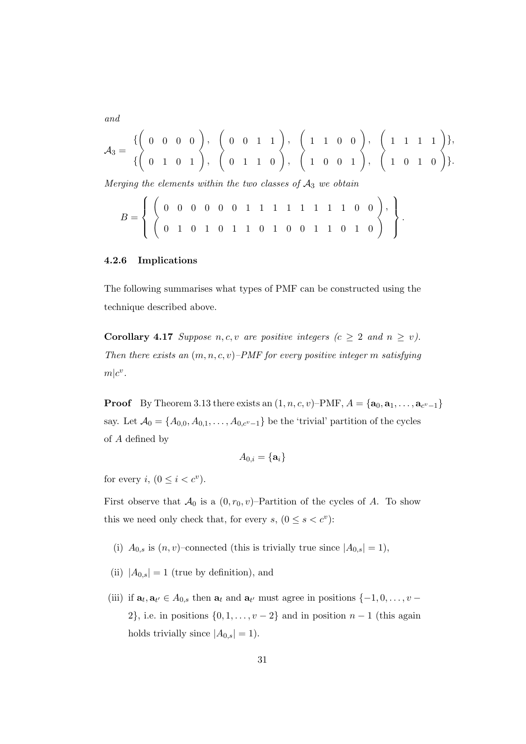*and*

$$
\mathcal{A}_3 = \{ \begin{pmatrix} 0 & 0 & 0 & 0 \\ 0 & 1 & 0 & 1 \end{pmatrix}, \begin{pmatrix} 0 & 0 & 1 & 1 \\ 0 & 1 & 1 & 0 \end{pmatrix}, \begin{pmatrix} 1 & 1 & 0 & 0 \\ 1 & 0 & 0 & 1 \end{pmatrix}, \begin{pmatrix} 1 & 1 & 1 & 1 \\ 1 & 0 & 0 & 1 \end{pmatrix}, \begin{pmatrix} 1 & 1 & 0 & 0 \\ 1 & 0 & 1 & 0 \end{pmatrix} \}.
$$

*.*

*Merging the elements within the two classes of A*<sup>3</sup> *we obtain*

$$
B = \left\{ \left( \begin{array}{cccccccc} 0 & 0 & 0 & 0 & 0 & 1 & 1 & 1 & 1 & 1 & 1 & 1 & 0 & 0 \\ 0 & 1 & 0 & 1 & 0 & 1 & 1 & 0 & 1 & 0 & 0 & 1 & 1 & 0 & 1 & 0 \\ 0 & 0 & 0 & 0 & 1 & 1 & 0 & 1 & 0 & 0 & 1 & 1 & 0 & 0 & 0 \end{array} \right), \right\}
$$

#### **4.2.6 Implications**

The following summarises what types of PMF can be constructed using the technique described above.

**Corollary 4.17** *Suppose*  $n, c, v$  *are positive integers*  $(c \geq 2$  *and*  $n \geq v)$ *. Then there exists an* (*m, n, c, v*)*–PMF for every positive integer m satisfying*  $m|c^v$ .

**Proof** By Theorem 3.13 there exists an  $(1, n, c, v)$ –PMF,  $A = {\bf{a_0, a_1, ..., a_{c^v-1}}}$ say. Let  $A_0 = \{A_{0,0}, A_{0,1}, \ldots, A_{0,c^v-1}\}$  be the 'trivial' partition of the cycles of *A* defined by

$$
A_{0,i}=\{\mathbf{a}_i\}
$$

for every *i*,  $(0 \leq i < c^v)$ .

First observe that  $A_0$  is a  $(0, r_0, v)$ –Partition of the cycles of *A*. To show this we need only check that, for every  $s, (0 \le s < c^v)$ :

- (i)  $A_{0,s}$  is  $(n, v)$ –connected (this is trivially true since  $|A_{0,s}| = 1$ ),
- (ii)  $|A_{0,s}| = 1$  (true by definition), and
- (iii) if  $\mathbf{a}_t, \mathbf{a}_{t'} \in A_{0,s}$  then  $\mathbf{a}_t$  and  $\mathbf{a}_{t'}$  must agree in positions  $\{-1, 0, \ldots, v -$ 2*}*, i.e. in positions *{*0*,* 1*, . . . , v −* 2*}* and in position *n −* 1 (this again holds trivially since  $|A_{0,s}| = 1$ .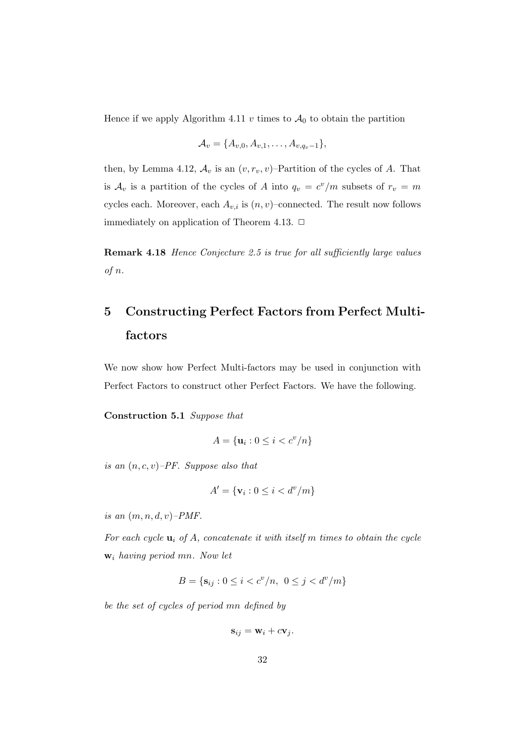Hence if we apply Algorithm 4.11  $v$  times to  $\mathcal{A}_0$  to obtain the partition

$$
\mathcal{A}_v = \{A_{v,0}, A_{v,1}, \ldots, A_{v,q_v-1}\},\,
$$

then, by Lemma 4.12,  $A_v$  is an  $(v, r_v, v)$ –Partition of the cycles of *A*. That is  $A_v$  is a partition of the cycles of *A* into  $q_v = c^v/m$  subsets of  $r_v = m$ cycles each. Moreover, each  $A_{v,i}$  is  $(n, v)$ –connected. The result now follows immediately on application of Theorem 4.13.  $\Box$ 

**Remark 4.18** *Hence Conjecture 2.5 is true for all sufficiently large values of n.*

# **5 Constructing Perfect Factors from Perfect Multifactors**

We now show how Perfect Multi-factors may be used in conjunction with Perfect Factors to construct other Perfect Factors. We have the following.

**Construction 5.1** *Suppose that*

$$
A = \{ \mathbf{u}_i : 0 \le i < c^v/n \}
$$

*is an* (*n, c, v*)*–PF. Suppose also that*

$$
A' = \{ \mathbf{v}_i : 0 \le i < d^v / m \}
$$

*is an* (*m, n, d, v*)*–PMF.*

*For each cycle* **u***<sup>i</sup> of A, concatenate it with itself m times to obtain the cycle* **w***<sup>i</sup> having period mn. Now let*

$$
B = \{ \mathbf{s}_{ij} : 0 \le i < c^v/n, \ 0 \le j < d^v/m \}
$$

*be the set of cycles of period mn defined by*

$$
\mathbf{s}_{ij} = \mathbf{w}_i + c\mathbf{v}_j.
$$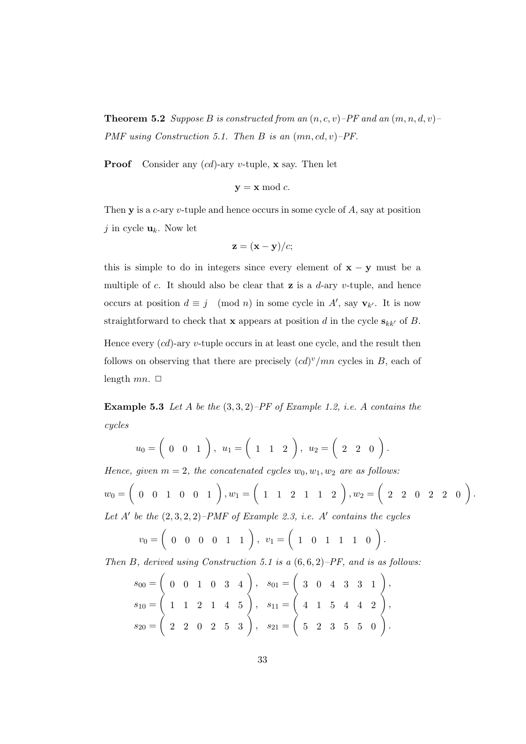**Theorem 5.2** *Suppose B is constructed from an*  $(n, c, v)$ –*PF and an*  $(m, n, d, v)$ – *PMF using Construction 5.1. Then B is an* (*mn, cd, v*)*–PF.*

**Proof** Consider any (*cd*)-ary *v*-tuple, **x** say. Then let

$$
y = x \bmod c.
$$

Then **y** is a *c*-ary *v*-tuple and hence occurs in some cycle of *A*, say at position *j* in cycle  $\mathbf{u}_k$ . Now let

$$
\mathbf{z} = (\mathbf{x} - \mathbf{y})/c;
$$

this is simple to do in integers since every element of  $\mathbf{x} - \mathbf{y}$  must be a multiple of *c*. It should also be clear that **z** is a *d*-ary *v*-tuple, and hence occurs at position  $d \equiv j \pmod{n}$  in some cycle in  $A'$ , say  $\mathbf{v}_{k'}$ . It is now straightforward to check that **x** appears at position *d* in the cycle  $\mathbf{s}_{kk'}$  of *B*. Hence every (*cd*)-ary *v*-tuple occurs in at least one cycle, and the result then follows on observing that there are precisely  $(cd)^v/mn$  cycles in *B*, each of length  $mn$ .  $\Box$ 

**Example 5.3** *Let A be the* (3*,* 3*,* 2)*–PF of Example 1.2, i.e. A contains the cycles*

$$
u_0 = \begin{pmatrix} 0 & 0 & 1 \end{pmatrix}, u_1 = \begin{pmatrix} 1 & 1 & 2 \end{pmatrix}, u_2 = \begin{pmatrix} 2 & 2 & 0 \end{pmatrix}.
$$

*Hence, given*  $m = 2$ *, the concatenated cycles*  $w_0, w_1, w_2$  *are as follows:* 

$$
w_0 = \left( \begin{array}{cccc} 0 & 0 & 1 & 0 & 0 & 1 \end{array} \right), w_1 = \left( \begin{array}{cccc} 1 & 1 & 2 & 1 & 1 & 2 \end{array} \right), w_2 = \left( \begin{array}{cccc} 2 & 2 & 0 & 2 & 2 & 0 \end{array} \right).
$$

Let  $A'$  be the  $(2,3,2,2)$ –PMF of Example 2.3, i.e.  $A'$  contains the cycles

$$
v_0 = \left( \begin{array}{cccc} 0 & 0 & 0 & 0 & 1 & 1 \end{array} \right), v_1 = \left( \begin{array}{cccc} 1 & 0 & 1 & 1 & 1 & 0 \end{array} \right).
$$

*Then B, derived using Construction 5.1 is a* (6*,* 6*,* 2)*–PF, and is as follows:*

$$
s_{00} = \begin{pmatrix} 0 & 0 & 1 & 0 & 3 & 4 \ 1 & 1 & 2 & 1 & 4 & 5 \ 2 & 2 & 0 & 2 & 5 & 3 \end{pmatrix}, s_{01} = \begin{pmatrix} 3 & 0 & 4 & 3 & 3 & 1 \ 4 & 1 & 5 & 4 & 4 & 2 \ 5 & 2 & 3 & 5 & 5 & 0 \end{pmatrix}, s_{11} = \begin{pmatrix} 4 & 1 & 5 & 4 & 4 & 2 \ 4 & 2 & 2 & 3 & 5 & 5 & 0 \end{pmatrix}.
$$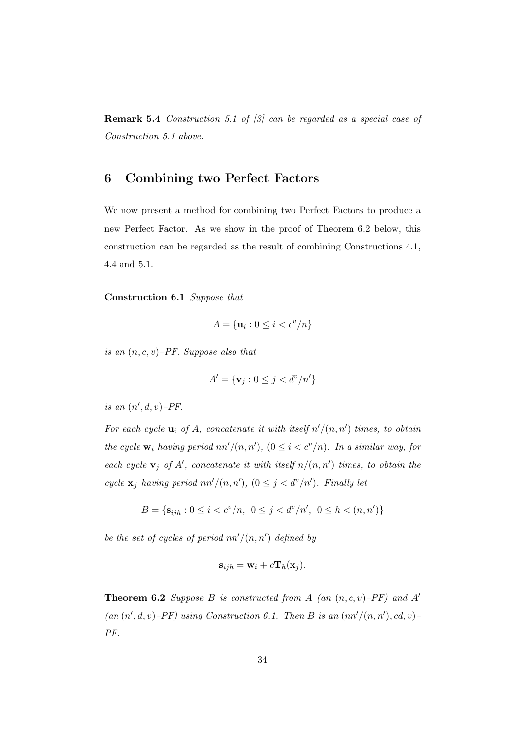**Remark 5.4** *Construction 5.1 of [3] can be regarded as a special case of Construction 5.1 above.*

### **6 Combining two Perfect Factors**

We now present a method for combining two Perfect Factors to produce a new Perfect Factor. As we show in the proof of Theorem 6.2 below, this construction can be regarded as the result of combining Constructions 4.1, 4.4 and 5.1.

#### **Construction 6.1** *Suppose that*

$$
A = \{ \mathbf{u}_i : 0 \le i < c^v/n \}
$$

*is an* (*n, c, v*)*–PF. Suppose also that*

$$
A' = \{ \mathbf{v}_j : 0 \le j < d^v / n' \}
$$

*is an*  $(n', d, v)$ – $PF$ .

*For each cycle*  $\mathbf{u}_i$  *of A, concatenate it with itself*  $n'/(n, n')$  *times, to obtain the cycle*  $\mathbf{w}_i$  *having period*  $nn'/(n, n')$ ,  $(0 \leq i < c^v/n)$ *. In a similar way, for each cycle*  $\mathbf{v}_j$  *of*  $A'$ , *concatenate it with itself*  $n/(n, n')$  *times, to obtain the cycle*  $\mathbf{x}_j$  *having period*  $nn'/(n, n')$ ,  $(0 \leq j < d^v/n')$ *. Finally let* 

$$
B = \{ \mathbf{s}_{ijh} : 0 \le i < c^v/n, \ 0 \le j < d^v/n', \ 0 \le h < (n, n') \}
$$

*be the set of cycles of period nn′/*(*n, n′* ) *defined by*

$$
\mathbf{s}_{ijh} = \mathbf{w}_i + c \mathbf{T}_h(\mathbf{x}_j).
$$

**Theorem 6.2** *Suppose B is constructed from A (an* (*n, c, v*)*–PF) and A′*  $(an (n', d, v) - PF)$  using Construction 6.1. Then *B* is an  $(nn'/(n, n'), cd, v)$ *PF.*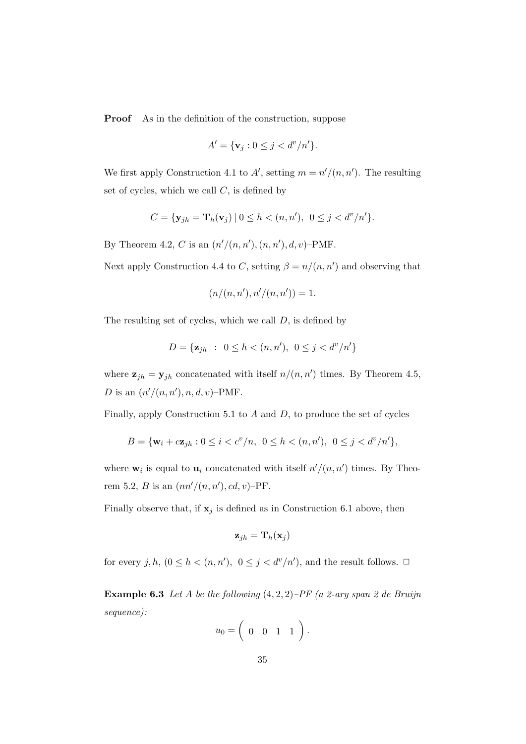**Proof** As in the definition of the construction, suppose

$$
A' = \{\mathbf{v}_j : 0 \le j < d^v/n'\}.
$$

We first apply Construction 4.1 to  $A'$ , setting  $m = n'/(n, n')$ . The resulting set of cycles, which we call *C*, is defined by

$$
C = {\mathbf{y}_{jh} = \mathbf{T}_h(\mathbf{v}_j) | 0 \le h < (n, n'), 0 \le j < d^v/n'}.
$$

By Theorem 4.2, *C* is an  $(n'/(n, n'), (n, n'), d, v)$ –PMF.

Next apply Construction 4.4 to *C*, setting  $\beta = n/(n, n')$  and observing that

$$
(n/(n, n'), n'/(n, n')) = 1.
$$

The resulting set of cycles, which we call *D*, is defined by

$$
D = \{ \mathbf{z}_{jh} : 0 \le h < (n, n'), \ 0 \le j < d^v / n' \}
$$

where  $\mathbf{z}_{jh} = \mathbf{y}_{jh}$  concatenated with itself  $n/(n, n')$  times. By Theorem 4.5, *D* is an  $(n'/(n, n'), n, d, v)$ –PMF.

Finally, apply Construction 5.1 to *A* and *D*, to produce the set of cycles

$$
B = \{ \mathbf{w}_i + c \mathbf{z}_{jh} : 0 \le i < c^v/n, \ 0 \le h < (n, n'), \ 0 \le j < d^v/n' \},
$$

where  $\mathbf{w}_i$  is equal to  $\mathbf{u}_i$  concatenated with itself  $n'/(n, n')$  times. By Theorem 5.2, *B* is an  $(nn'/(n, n'), cd, v)$ -PF.

Finally observe that, if  $x_j$  is defined as in Construction 6.1 above, then

$$
\mathbf{z}_{jh} = \mathbf{T}_h(\mathbf{x}_j)
$$

for every *j*, *h*,  $(0 \leq h \leq (n, n'), 0 \leq j \leq d^v/n'$ , and the result follows.  $\Box$ 

**Example 6.3** *Let A be the following* (4*,* 2*,* 2)*–PF (a 2-ary span 2 de Bruijn sequence):*

$$
u_0 = \left( \begin{array}{cccc} 0 & 0 & 1 & 1 \end{array} \right).
$$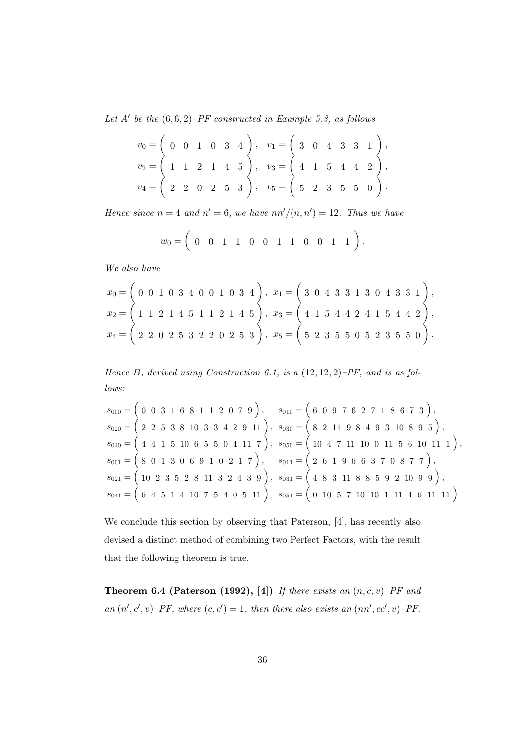*Let A′ be the* (6*,* 6*,* 2)*–PF constructed in Example 5.3, as follows*

$$
v_0 = \begin{pmatrix} 0 & 0 & 1 & 0 & 3 & 4 \ 1 & 1 & 2 & 1 & 4 & 5 \ 2 & 2 & 0 & 2 & 5 & 3 \end{pmatrix}, v_1 = \begin{pmatrix} 3 & 0 & 4 & 3 & 3 & 1 \ 4 & 1 & 5 & 4 & 4 & 2 \ 5 & 2 & 3 & 5 & 5 & 0 \end{pmatrix},
$$
  
\n
$$
v_4 = \begin{pmatrix} 2 & 2 & 0 & 2 & 5 & 3 \ 2 & 2 & 0 & 2 & 5 & 3 \end{pmatrix}, v_5 = \begin{pmatrix} 5 & 2 & 3 & 5 & 5 & 0 \ 5 & 2 & 3 & 5 & 5 & 0 \end{pmatrix}.
$$

*Hence since*  $n = 4$  *and*  $n' = 6$ *, we have*  $nn'/(n, n') = 12$ *. Thus we have* 

$$
w_0 = \left(\begin{array}{ccccccccc} 0 & 0 & 1 & 1 & 0 & 0 & 1 & 1 & 0 & 0 & 1 & 1 \end{array}\right).
$$

*We also have*

$$
x_0 = \begin{pmatrix} 0 & 0 & 1 & 0 & 3 & 4 & 0 & 0 & 1 & 0 & 3 & 4 \end{pmatrix}, x_1 = \begin{pmatrix} 3 & 0 & 4 & 3 & 3 & 1 & 3 & 0 & 4 & 3 & 3 & 1 \end{pmatrix}, x_2 = \begin{pmatrix} 1 & 1 & 2 & 1 & 4 & 5 & 1 & 1 & 2 & 1 & 4 & 5 \end{pmatrix}, x_3 = \begin{pmatrix} 4 & 1 & 5 & 4 & 4 & 2 & 4 & 1 & 5 & 4 & 4 & 2 \end{pmatrix}, x_4 = \begin{pmatrix} 2 & 2 & 0 & 2 & 5 & 3 & 2 & 2 & 0 & 2 & 5 & 3 \end{pmatrix}, x_5 = \begin{pmatrix} 5 & 2 & 3 & 5 & 5 & 0 & 5 & 2 & 3 & 5 & 5 & 0 \end{pmatrix}.
$$

*Hence B, derived using Construction 6.1, is a* (12*,* 12*,* 2)*–PF, and is as follows:*

$$
s_{000} = \begin{pmatrix} 0 & 0 & 3 & 1 & 6 & 8 & 1 & 1 & 2 & 0 & 7 & 9 \end{pmatrix}, \quad s_{010} = \begin{pmatrix} 6 & 0 & 9 & 7 & 6 & 2 & 7 & 1 & 8 & 6 & 7 & 3 \end{pmatrix},
$$
  
\n
$$
s_{020} = \begin{pmatrix} 2 & 2 & 5 & 3 & 8 & 10 & 3 & 3 & 4 & 2 & 9 & 11 \end{pmatrix}, \quad s_{030} = \begin{pmatrix} 8 & 2 & 11 & 9 & 8 & 4 & 9 & 3 & 10 & 8 & 9 & 5 \end{pmatrix},
$$
  
\n
$$
s_{040} = \begin{pmatrix} 4 & 4 & 1 & 5 & 10 & 6 & 5 & 5 & 0 & 4 & 11 & 7 \end{pmatrix}, \quad s_{050} = \begin{pmatrix} 10 & 4 & 7 & 11 & 10 & 0 & 11 & 5 & 6 & 10 & 11 & 1 \end{pmatrix},
$$
  
\n
$$
s_{001} = \begin{pmatrix} 8 & 0 & 1 & 3 & 0 & 6 & 9 & 1 & 0 & 2 & 1 & 7 \end{pmatrix}, \quad s_{011} = \begin{pmatrix} 2 & 6 & 1 & 9 & 6 & 6 & 3 & 7 & 0 & 8 & 7 & 7 \end{pmatrix},
$$
  
\n
$$
s_{021} = \begin{pmatrix} 10 & 2 & 3 & 5 & 2 & 8 & 11 & 3 & 2 & 4 & 3 & 9 \end{pmatrix}, \quad s_{031} = \begin{pmatrix} 4 & 8 & 3 & 11 & 8 & 8 & 5 & 9 & 2 & 10 & 9 & 9 \end{pmatrix},
$$
  
\n
$$
s_{041} = \begin{pmatrix} 6 & 4 & 5 & 1 & 4 & 10 & 7 & 5 & 4 & 0 & 5 & 11 \end{pmatrix}, \quad s_{051} = \begin{pmatrix} 0 & 10 & 5 & 7 & 10 & 10 & 1 & 11 & 4 & 6 & 11 & 11 \end{pmatrix}.
$$

We conclude this section by observing that Paterson, [4], has recently also devised a distinct method of combining two Perfect Factors, with the result that the following theorem is true.

**Theorem 6.4 (Paterson (1992), [4])** *If there exists an* (*n, c, v*)*–PF and an*  $(n', c', v)$ –*PF*, where  $(c, c') = 1$ , then there also exists an  $(nn', cc', v)$ –*PF*.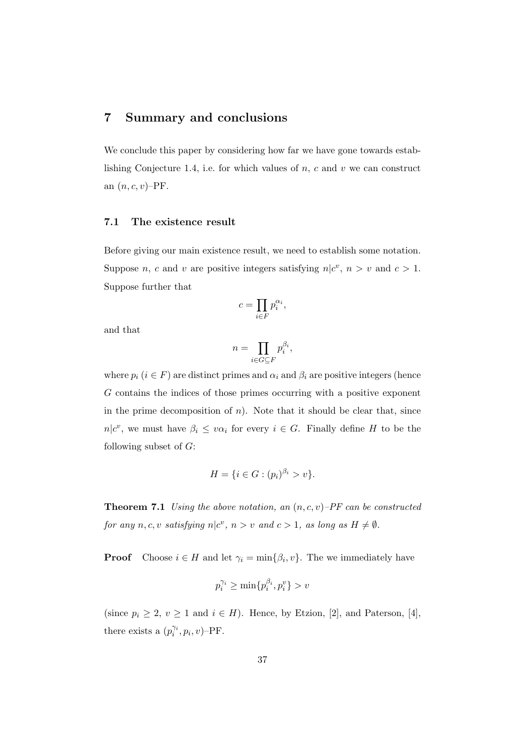# **7 Summary and conclusions**

We conclude this paper by considering how far we have gone towards establishing Conjecture 1.4, i.e. for which values of *n*, *c* and *v* we can construct an (*n, c, v*)–PF.

### **7.1 The existence result**

Before giving our main existence result, we need to establish some notation. Suppose *n*, *c* and *v* are positive integers satisfying  $n|c^v, n > v$  and  $c > 1$ . Suppose further that

$$
c = \prod_{i \in F} p_i^{\alpha_i},
$$

and that

$$
n = \prod_{i \in G \subseteq F} p_i^{\beta_i},
$$

where  $p_i$  ( $i \in F$ ) are distinct primes and  $\alpha_i$  and  $\beta_i$  are positive integers (hence *G* contains the indices of those primes occurring with a positive exponent in the prime decomposition of  $n$ ). Note that it should be clear that, since *n*<sup> $|c^v$ </sup>, we must have  $\beta_i \leq v\alpha_i$  for every  $i \in G$ . Finally define *H* to be the following subset of *G*:

$$
H = \{ i \in G : (p_i)^{\beta_i} > v \}.
$$

**Theorem 7.1** *Using the above notation, an* (*n, c, v*)*–PF can be constructed for any*  $n, c, v$  *satisfying*  $n|c^v, n > v$  *and*  $c > 1$ *, as long as*  $H \neq \emptyset$ *.* 

**Proof** Choose  $i \in H$  and let  $\gamma_i = \min\{\beta_i, v\}$ . The we immediately have

$$
p_i^{\gamma_i} \ge \min\{p_i^{\beta_i}, p_i^v\} > v
$$

(since  $p_i \geq 2$ ,  $v \geq 1$  and  $i \in H$ ). Hence, by Etzion, [2], and Paterson, [4], there exists a  $(p_i^{\gamma_i}, p_i, v)$ –PF.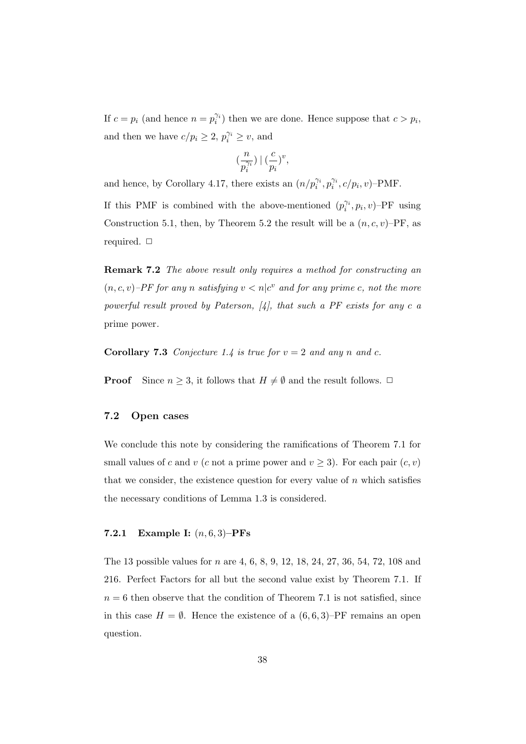If  $c = p_i$  (and hence  $n = p_i^{\gamma_i}$ ) then we are done. Hence suppose that  $c > p_i$ , and then we have  $c/p_i \geq 2$ ,  $p_i^{\gamma_i} \geq v$ , and

$$
(\frac{n}{p_i^{\gamma_i}})\mid(\frac{c}{p_i})^v,
$$

and hence, by Corollary 4.17, there exists an  $(n/p_i^{\gamma_i}, p_i^{\gamma_i}, c/p_i, v)$ –PMF.

If this PMF is combined with the above-mentioned  $(p_i^{\gamma_i}, p_i, v)$ –PF using Construction 5.1, then, by Theorem 5.2 the result will be a  $(n, c, v)$ –PF, as required. *✷*

**Remark 7.2** *The above result only requires a method for constructing an*  $(n, c, v)$ –PF for any *n* satisfying  $v < n | c^v$  and for any prime *c*, not the more *powerful result proved by Paterson, [4], that such a PF exists for any c a* prime power*.*

**Corollary 7.3** Conjecture 1.4 is true for  $v = 2$  and any *n* and *c*.

**Proof** Since  $n \geq 3$ , it follows that  $H \neq \emptyset$  and the result follows.  $\Box$ 

#### **7.2 Open cases**

We conclude this note by considering the ramifications of Theorem 7.1 for small values of *c* and *v* (*c* not a prime power and  $v \geq 3$ ). For each pair  $(c, v)$ that we consider, the existence question for every value of  $n$  which satisfies the necessary conditions of Lemma 1.3 is considered.

#### **7.2.1 Example I:** (*n,* 6*,* 3)**–PFs**

The 13 possible values for *n* are 4, 6, 8, 9, 12, 18, 24, 27, 36, 54, 72, 108 and 216. Perfect Factors for all but the second value exist by Theorem 7.1. If  $n = 6$  then observe that the condition of Theorem 7.1 is not satisfied, since in this case  $H = \emptyset$ . Hence the existence of a  $(6, 6, 3)$ –PF remains an open question.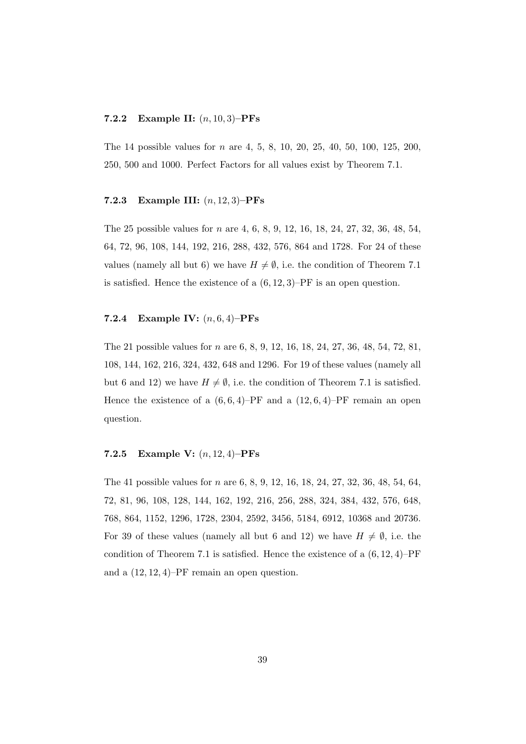#### **7.2.2 Example II:** (*n,* 10*,* 3)**–PFs**

The 14 possible values for *n* are 4, 5, 8, 10, 20, 25, 40, 50, 100, 125, 200, 250, 500 and 1000. Perfect Factors for all values exist by Theorem 7.1.

#### **7.2.3 Example III:** (*n,* 12*,* 3)**–PFs**

The 25 possible values for *n* are 4, 6, 8, 9, 12, 16, 18, 24, 27, 32, 36, 48, 54, 64, 72, 96, 108, 144, 192, 216, 288, 432, 576, 864 and 1728. For 24 of these values (namely all but 6) we have  $H \neq \emptyset$ , i.e. the condition of Theorem 7.1 is satisfied. Hence the existence of a (6*,* 12*,* 3)–PF is an open question.

#### **7.2.4 Example IV:** (*n,* 6*,* 4)**–PFs**

The 21 possible values for *n* are 6, 8, 9, 12, 16, 18, 24, 27, 36, 48, 54, 72, 81, 108, 144, 162, 216, 324, 432, 648 and 1296. For 19 of these values (namely all but 6 and 12) we have  $H \neq \emptyset$ , i.e. the condition of Theorem 7.1 is satisfied. Hence the existence of a  $(6,6,4)$ –PF and a  $(12,6,4)$ –PF remain an open question.

#### **7.2.5 Example V:** (*n,* 12*,* 4)**–PFs**

The 41 possible values for *n* are 6, 8, 9, 12, 16, 18, 24, 27, 32, 36, 48, 54, 64, 72, 81, 96, 108, 128, 144, 162, 192, 216, 256, 288, 324, 384, 432, 576, 648, 768, 864, 1152, 1296, 1728, 2304, 2592, 3456, 5184, 6912, 10368 and 20736. For 39 of these values (namely all but 6 and 12) we have  $H \neq \emptyset$ , i.e. the condition of Theorem 7.1 is satisfied. Hence the existence of a (6*,* 12*,* 4)–PF and a (12*,* 12*,* 4)–PF remain an open question.